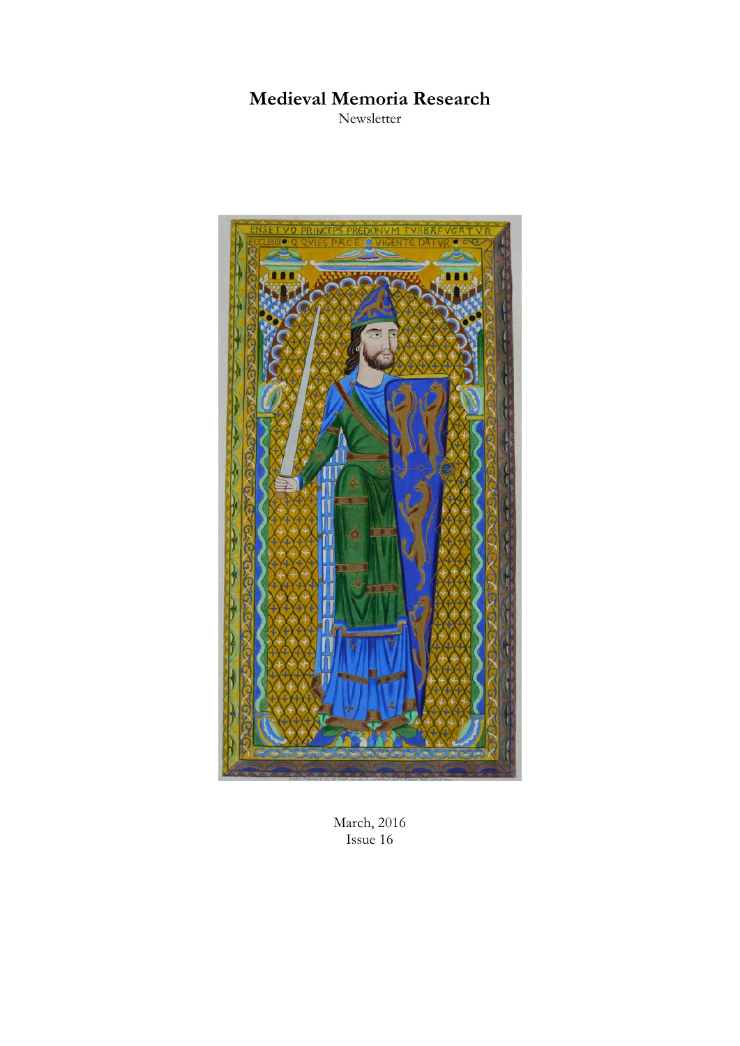# **Medieval Memoria Research**

Newsletter



March, 2016 Issue 16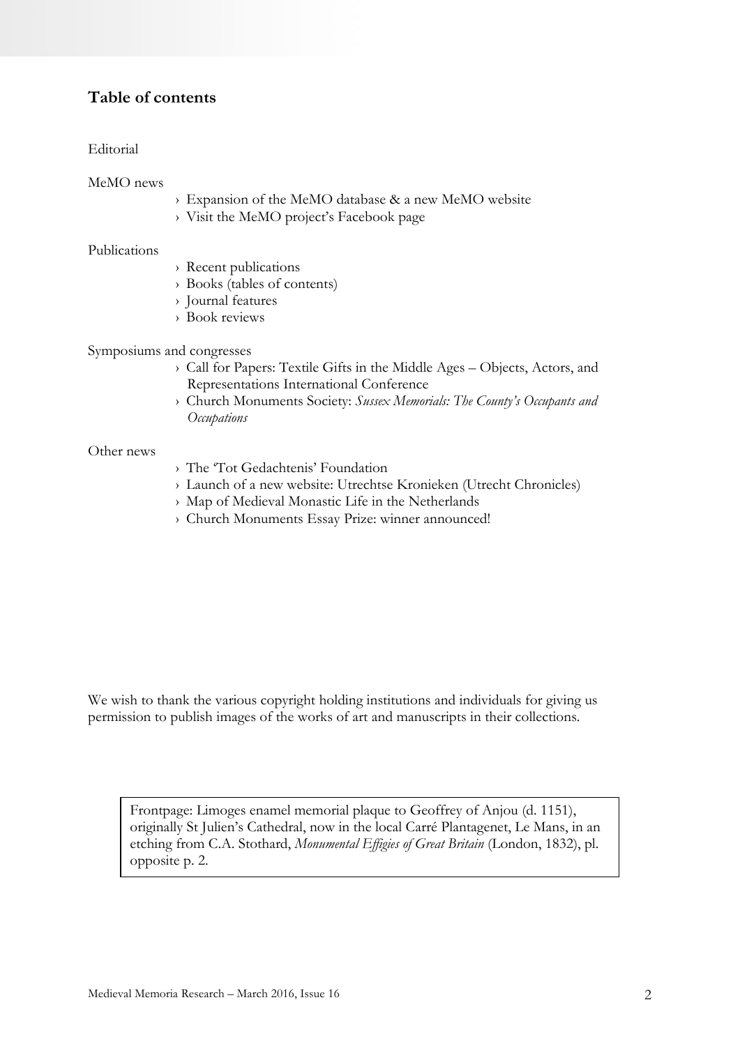### **Table of contents**

#### Editorial

MeMO news

- › Expansion of the MeMO database & a new MeMO website
- › Visit the MeMO project's Facebook page

#### Publications

- › Recent publications
- › Books (tables of contents)
- › Journal features
- › Book reviews

Symposiums and congresses

- › Call for Papers: Textile Gifts in the Middle Ages Objects, Actors, and Representations International Conference
- › Church Monuments Society: *Sussex Memorials: The County's Occupants and Occupations*

#### Other news

- › The 'Tot Gedachtenis' Foundation
- › Launch of a new website: Utrechtse Kronieken (Utrecht Chronicles)
- › Map of Medieval Monastic Life in the Netherlands
- › Church Monuments Essay Prize: winner announced!

We wish to thank the various copyright holding institutions and individuals for giving us permission to publish images of the works of art and manuscripts in their collections.

Frontpage: Limoges enamel memorial plaque to Geoffrey of Anjou (d. 1151), originally St Julien's Cathedral, now in the local Carré Plantagenet, Le Mans, in an etching from C.A. Stothard, *Monumental Effigies of Great Britain* (London, 1832), pl. opposite p. 2.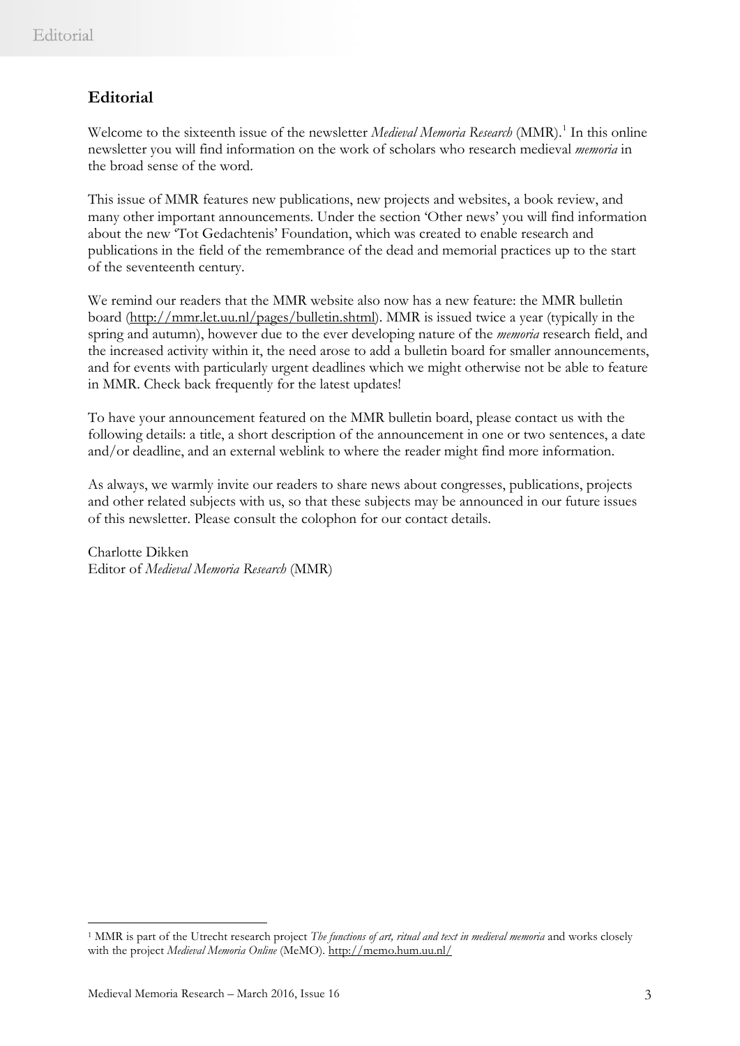# **Editorial**

Welcome to the sixteenth issue of the newsletter *Medieval Memoria Research* (MMR).<sup>[1](#page-2-0)</sup> In this online newsletter you will find information on the work of scholars who research medieval *memoria* in the broad sense of the word.

This issue of MMR features new publications, new projects and websites, a book review, and many other important announcements. Under the section 'Other news' you will find information about the new 'Tot Gedachtenis' Foundation, which was created to enable research and publications in the field of the remembrance of the dead and memorial practices up to the start of the seventeenth century.

We remind our readers that the MMR website also now has a new feature: the MMR bulletin board [\(http://mmr.let.uu.nl/pages/bulletin.shtml\)](http://mmr.let.uu.nl/pages/bulletin.shtml). MMR is issued twice a year (typically in the spring and autumn), however due to the ever developing nature of the *memoria* research field, and the increased activity within it, the need arose to add a bulletin board for smaller announcements, and for events with particularly urgent deadlines which we might otherwise not be able to feature in MMR. Check back frequently for the latest updates!

To have your announcement featured on the MMR bulletin board, please contact us with the following details: a title, a short description of the announcement in one or two sentences, a date and/or deadline, and an external weblink to where the reader might find more information.

As always, we warmly invite our readers to share news about congresses, publications, projects and other related subjects with us, so that these subjects may be announced in our future issues of this newsletter. Please consult the colophon for our contact details.

Charlotte Dikken Editor of *Medieval Memoria Research* (MMR)

 $\overline{a}$ 

<span id="page-2-0"></span><sup>1</sup> MMR is part of the Utrecht research project *The functions of art, ritual and text in medieval memoria* and works closely with the project *Medieval Memoria Online* (MeMO). <http://memo.hum.uu.nl/>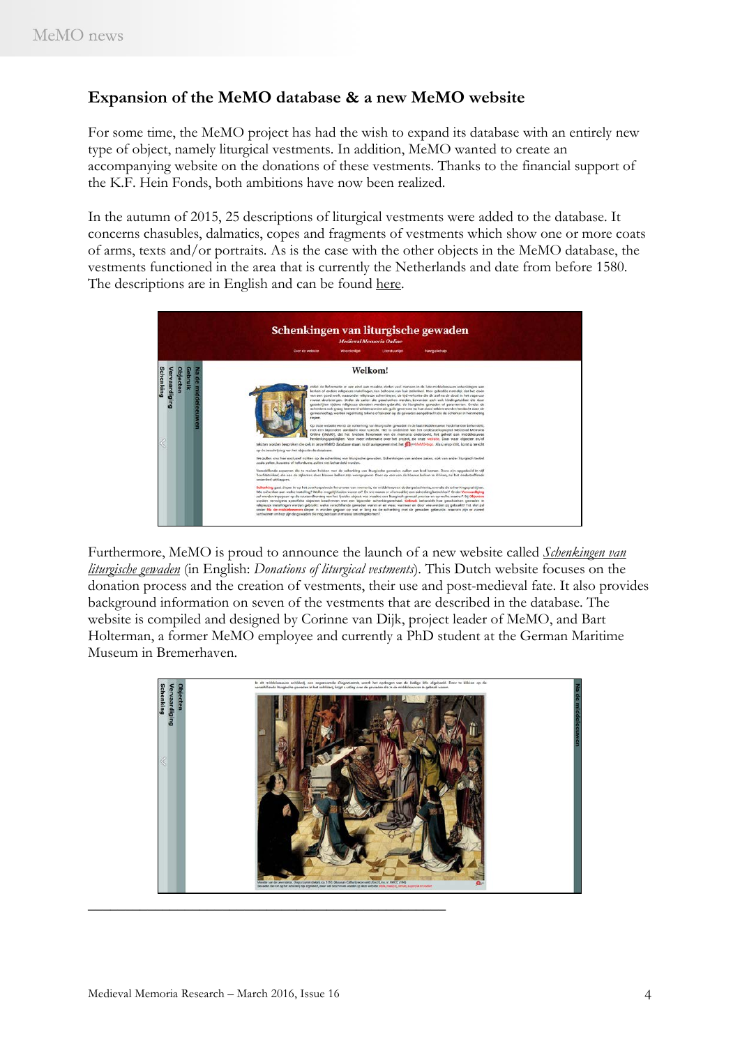### **Expansion of the MeMO database & a new MeMO website**

For some time, the MeMO project has had the wish to expand its database with an entirely new type of object, namely liturgical vestments. In addition, MeMO wanted to create an accompanying website on the donations of these vestments. Thanks to the financial support of the K.F. Hein Fonds, both ambitions have now been realized.

In the autumn of 2015, 25 descriptions of liturgical vestments were added to the database. It concerns chasubles, dalmatics, copes and fragments of vestments which show one or more coats of arms, texts and/or portraits. As is the case with the other objects in the MeMO database, the vestments functioned in the area that is currently the Netherlands and date from before 1580. The descriptions are in English and can be found [here.](https://memodatabase.hum.uu.nl/memo-is/advancedSearch/search?__SearchForm=Memorial%20objects&__RequireAll=on&classification.id=1297)



Furthermore, MeMO is proud to announce the launch of a new website called *[Schenkingen van](http://memo.hum.uu.nl/liturgischegewaden/)  [liturgische gewaden](http://memo.hum.uu.nl/liturgischegewaden/)* (in English: *Donations of liturgical vestments*). This Dutch website focuses on the donation process and the creation of vestments, their use and post-medieval fate. It also provides background information on seven of the vestments that are described in the database. The website is compiled and designed by Corinne van Dijk, project leader of MeMO, and Bart Holterman, a former MeMO employee and currently a PhD student at the German Maritime Museum in Bremerhaven.

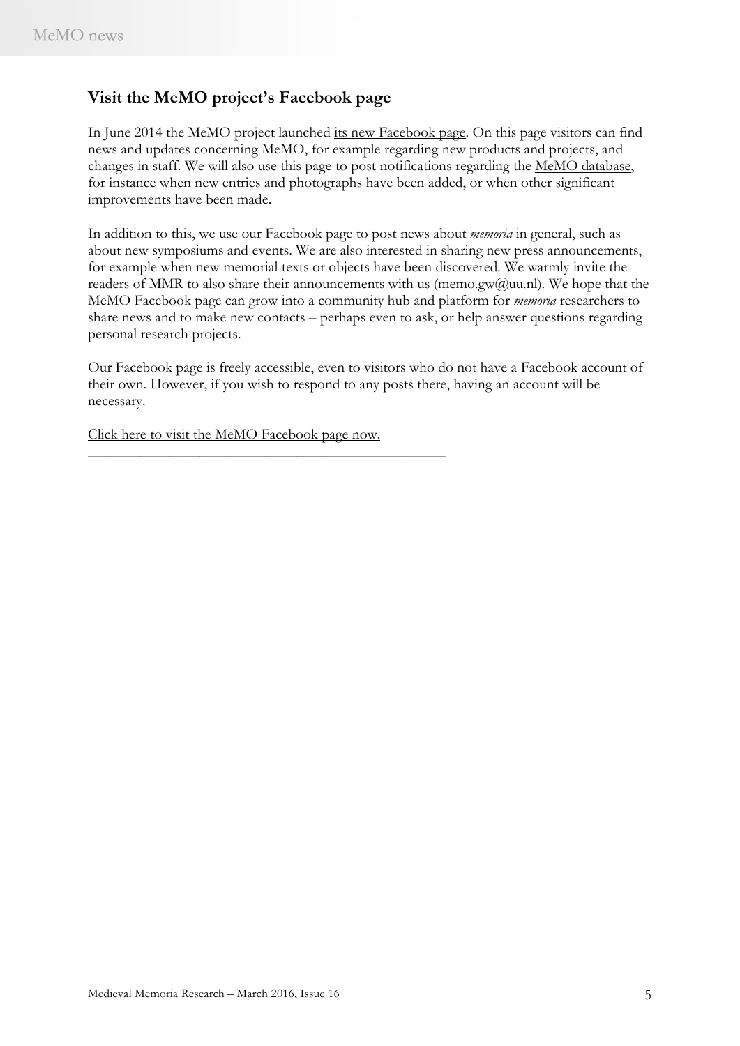### **Visit the MeMO project's Facebook page**

In June 2014 the MeMO project launched [its new Facebook page.](https://www.facebook.com/pages/MeMO/1505989906286227?skip_nax_wizard=true) On this page visitors can find news and updates concerning MeMO, for example regarding new products and projects, and changes in staff. We will also use this page to post notifications regarding the [MeMO database,](http://memo.hum.uu.nl/database/index.html) for instance when new entries and photographs have been added, or when other significant improvements have been made.

In addition to this, we use our Facebook page to post news about *memoria* in general, such as about new symposiums and events. We are also interested in sharing new press announcements, for example when new memorial texts or objects have been discovered. We warmly invite the readers of MMR to also share their announcements with us (memo.gw@uu.nl). We hope that the MeMO Facebook page can grow into a community hub and platform for *memoria* researchers to share news and to make new contacts – perhaps even to ask, or help answer questions regarding personal research projects.

Our Facebook page is freely accessible, even to visitors who do not have a Facebook account of their own. However, if you wish to respond to any posts there, having an account will be necessary.

[Click here to visit the MeMO Facebook page now.](https://www.facebook.com/pages/MeMO/1505989906286227?skip_nax_wizard=true)

\_\_\_\_\_\_\_\_\_\_\_\_\_\_\_\_\_\_\_\_\_\_\_\_\_\_\_\_\_\_\_\_\_\_\_\_\_\_\_\_\_\_\_\_\_\_\_\_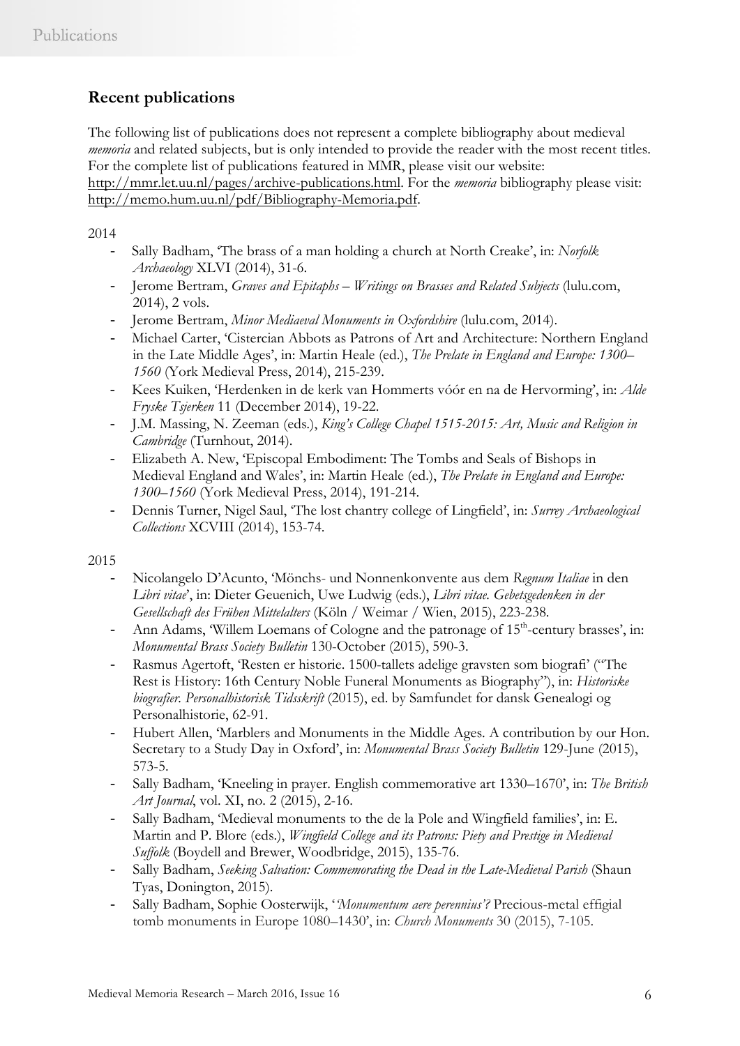# **Recent publications**

The following list of publications does not represent a complete bibliography about medieval *memoria* and related subjects, but is only intended to provide the reader with the most recent titles. For the complete list of publications featured in MMR, please visit our website: [http://mmr.let.uu.nl/pages/archive-publications.html.](http://mmr.let.uu.nl/pages/archive-publications.html) For the *memoria* bibliography please visit: [http://memo.hum.uu.nl/pdf/Bibliography-Memoria.pdf.](http://memo.hum.uu.nl/pdf/Bibliography-Memoria.pdf)

2014

- Sally Badham, 'The brass of a man holding a church at North Creake', in: *Norfolk Archaeology* XLVI (2014), 31-6.
- Jerome Bertram, *Graves and Epitaphs – Writings on Brasses and Related Subjects* (lulu.com, 2014), 2 vols.
- Jerome Bertram, *Minor Mediaeval Monuments in Oxfordshire* (lulu.com, 2014).
- Michael Carter, 'Cistercian Abbots as Patrons of Art and Architecture: Northern England in the Late Middle Ages', in: Martin Heale (ed.), *The Prelate in England and Europe: 1300– 1560* (York Medieval Press, 2014), 215-239.
- Kees Kuiken, 'Herdenken in de kerk van Hommerts vóór en na de Hervorming', in: *Alde Fryske Tsjerken* 11 (December 2014), 19-22.
- J.M. Massing, N. Zeeman (eds*.*), *King's College Chapel 1515-2015: Art, Music and Religion in Cambridge* (Turnhout, 2014).
- Elizabeth A. New, 'Episcopal Embodiment: The Tombs and Seals of Bishops in Medieval England and Wales', in: Martin Heale (ed.), *The Prelate in England and Europe: 1300–1560* (York Medieval Press, 2014), 191-214.
- Dennis Turner, Nigel Saul, 'The lost chantry college of Lingfield', in: *Surrey Archaeological Collections* XCVIII (2014), 153-74.

2015

- Nicolangelo D'Acunto, 'Mönchs- und Nonnenkonvente aus dem *Regnum Italiae* in den *Libri vitae*', in: Dieter Geuenich, Uwe Ludwig (eds.), *Libri vitae. Gebetsgedenken in der Gesellschaft des Frühen Mittelalters* (Köln / Weimar / Wien, 2015), 223-238.
- Ann Adams, 'Willem Loemans of Cologne and the patronage of  $15<sup>th</sup>$ -century brasses', in: *Monumental Brass Society Bulletin* 130-October (2015), 590-3.
- Rasmus Agertoft, 'Resten er historie. 1500-tallets adelige gravsten som biografi' ("The Rest is History: 16th Century Noble Funeral Monuments as Biography"), in: *Historiske biografier. Personalhistorisk Tidsskrift* (2015), ed. by Samfundet for dansk Genealogi og Personalhistorie, 62-91.
- Hubert Allen, 'Marblers and Monuments in the Middle Ages. A contribution by our Hon. Secretary to a Study Day in Oxford', in: *Monumental Brass Society Bulletin* 129-June (2015), 573-5.
- Sally Badham, 'Kneeling in prayer. English commemorative art 1330–1670', in: *The British Art Journal*, vol. XI, no. 2 (2015), 2-16.
- Sally Badham, 'Medieval monuments to the de la Pole and Wingfield families', in: E. Martin and P. Blore (eds.), *Wingfield College and its Patrons: Piety and Prestige in Medieval Suffolk* (Boydell and Brewer, Woodbridge, 2015), 135-76.
- Sally Badham, *Seeking Salvation: Commemorating the Dead in the Late-Medieval Parish* (Shaun Tyas, Donington, 2015).
- Sally Badham, Sophie Oosterwijk, '*'Monumentum aere perennius'?* Precious-metal effigial tomb monuments in Europe 1080–1430', in: *Church Monuments* 30 (2015), 7-105.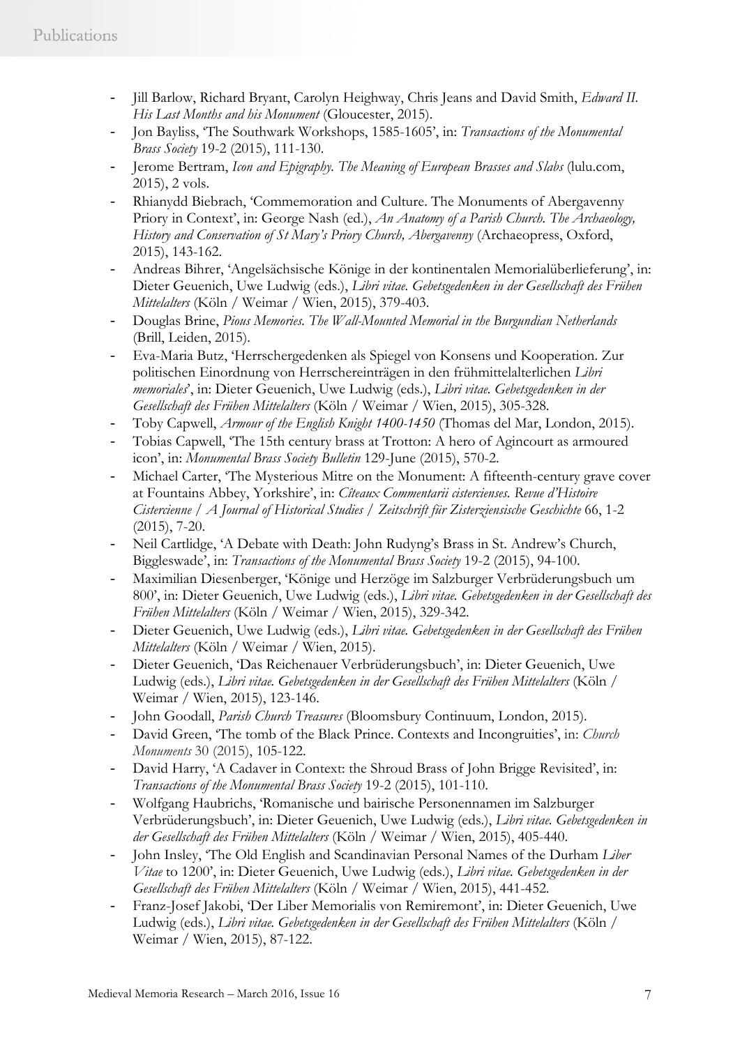- Jill Barlow, Richard Bryant, Carolyn Heighway, Chris Jeans and David Smith, *Edward II. His Last Months and his Monument* (Gloucester, 2015).
- Jon Bayliss, 'The Southwark Workshops, 1585-1605', in: *Transactions of the Monumental Brass Society* 19-2 (2015), 111-130.
- Jerome Bertram, *Icon and Epigraphy. The Meaning of European Brasses and Slabs* (lulu.com, 2015), 2 vols.
- Rhianydd Biebrach, 'Commemoration and Culture. The Monuments of Abergavenny Priory in Context', in: George Nash (ed.), *An Anatomy of a Parish Church. The Archaeology,*  History and Conservation of St Mary's Priory Church, Abergavenny (Archaeopress, Oxford, 2015), 143-162.
- Andreas Bihrer, 'Angelsächsische Könige in der kontinentalen Memorialüberlieferung', in: Dieter Geuenich, Uwe Ludwig (eds.), *Libri vitae. Gebetsgedenken in der Gesellschaft des Frühen Mittelalters* (Köln / Weimar / Wien, 2015), 379-403.
- Douglas Brine, *Pious Memories. The Wall-Mounted Memorial in the Burgundian Netherlands*  (Brill, Leiden, 2015).
- Eva-Maria Butz, 'Herrschergedenken als Spiegel von Konsens und Kooperation. Zur politischen Einordnung von Herrschereinträgen in den frühmittelalterlichen *Libri memoriales*', in: Dieter Geuenich, Uwe Ludwig (eds.), *Libri vitae. Gebetsgedenken in der Gesellschaft des Frühen Mittelalters* (Köln / Weimar / Wien, 2015), 305-328.
- Toby Capwell, *Armour of the English Knight 1400-1450* (Thomas del Mar, London, 2015).
- Tobias Capwell, 'The 15th century brass at Trotton: A hero of Agincourt as armoured icon', in: *Monumental Brass Society Bulletin* 129-June (2015), 570-2.
- Michael Carter, 'The Mysterious Mitre on the Monument: A fifteenth-century grave cover at Fountains Abbey, Yorkshire', in: *Cîteaux Commentarii cistercienses. Revue d'Histoire Cistercienne / A Journal of Historical Studies / Zeitschrift für Zisterziensische Geschichte* 66, 1-2 (2015), 7-20.
- Neil Cartlidge, 'A Debate with Death: John Rudyng's Brass in St. Andrew's Church, Biggleswade', in: *Transactions of the Monumental Brass Society* 19-2 (2015), 94-100.
- Maximilian Diesenberger, 'Könige und Herzöge im Salzburger Verbrüderungsbuch um 800', in: Dieter Geuenich, Uwe Ludwig (eds.), *Libri vitae. Gebetsgedenken in der Gesellschaft des Frühen Mittelalters* (Köln / Weimar / Wien, 2015), 329-342.
- Dieter Geuenich, Uwe Ludwig (eds.), *Libri vitae. Gebetsgedenken in der Gesellschaft des Frühen Mittelalters* (Köln / Weimar / Wien, 2015).
- Dieter Geuenich, 'Das Reichenauer Verbrüderungsbuch', in: Dieter Geuenich, Uwe Ludwig (eds.), *Libri vitae. Gebetsgedenken in der Gesellschaft des Frühen Mittelalters* (Köln / Weimar / Wien, 2015), 123-146.
- John Goodall, *Parish Church Treasures* (Bloomsbury Continuum, London, 2015).
- David Green, 'The tomb of the Black Prince. Contexts and Incongruities', in: *Church Monuments* 30 (2015), 105-122.
- David Harry, 'A Cadaver in Context: the Shroud Brass of John Brigge Revisited', in: *Transactions of the Monumental Brass Society* 19-2 (2015), 101-110.
- Wolfgang Haubrichs, 'Romanische und bairische Personennamen im Salzburger Verbrüderungsbuch', in: Dieter Geuenich, Uwe Ludwig (eds.), *Libri vitae. Gebetsgedenken in der Gesellschaft des Frühen Mittelalters* (Köln / Weimar / Wien, 2015), 405-440.
- John Insley, 'The Old English and Scandinavian Personal Names of the Durham *Liber Vitae* to 1200', in: Dieter Geuenich, Uwe Ludwig (eds.), *Libri vitae. Gebetsgedenken in der Gesellschaft des Frühen Mittelalters* (Köln / Weimar / Wien, 2015), 441-452.
- Franz-Josef Jakobi, 'Der Liber Memorialis von Remiremont', in: Dieter Geuenich, Uwe Ludwig (eds.), *Libri vitae. Gebetsgedenken in der Gesellschaft des Frühen Mittelalters* (Köln / Weimar / Wien, 2015), 87-122.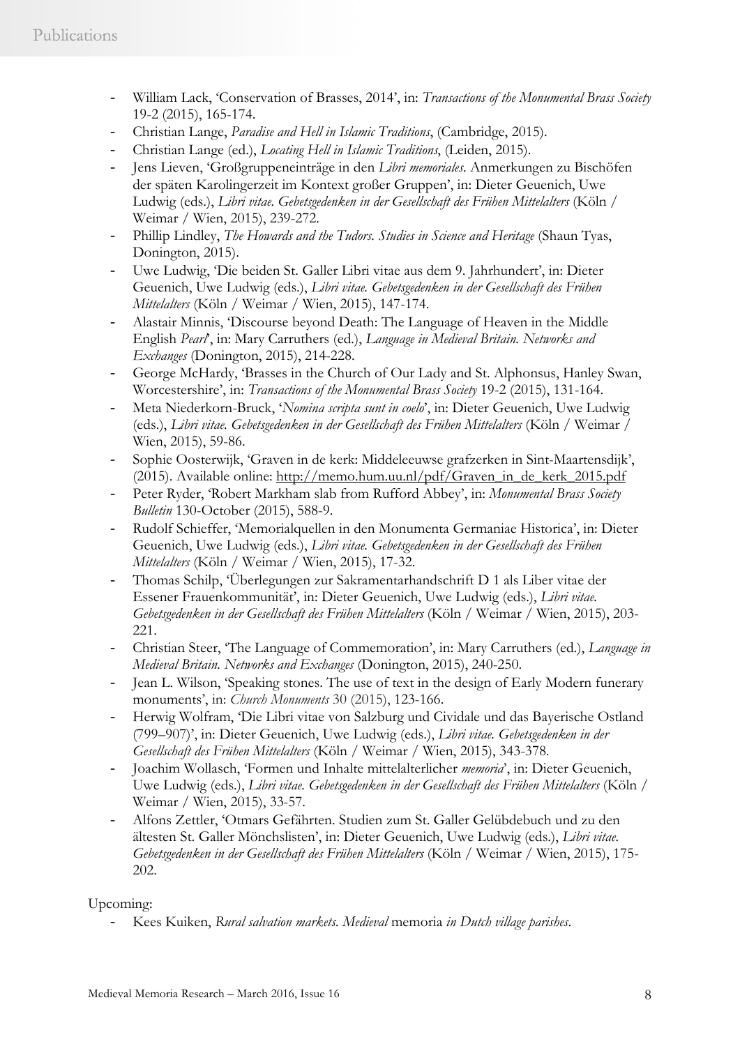- William Lack, 'Conservation of Brasses, 2014', in: *Transactions of the Monumental Brass Society* 19-2 (2015), 165-174.
- Christian Lange, *Paradise and Hell in Islamic Traditions*, (Cambridge, 2015).
- Christian Lange (ed.), *Locating Hell in Islamic Traditions*, (Leiden, 2015).
- Jens Lieven, 'Großgruppeneinträge in den *Libri memoriales*. Anmerkungen zu Bischöfen der späten Karolingerzeit im Kontext großer Gruppen', in: Dieter Geuenich, Uwe Ludwig (eds.), *Libri vitae. Gebetsgedenken in der Gesellschaft des Frühen Mittelalters* (Köln / Weimar / Wien, 2015), 239-272.
- Phillip Lindley, *The Howards and the Tudors. Studies in Science and Heritage* (Shaun Tyas, Donington, 2015).
- Uwe Ludwig, 'Die beiden St. Galler Libri vitae aus dem 9. Jahrhundert', in: Dieter Geuenich, Uwe Ludwig (eds.), *Libri vitae. Gebetsgedenken in der Gesellschaft des Frühen Mittelalters* (Köln / Weimar / Wien, 2015), 147-174.
- Alastair Minnis, 'Discourse beyond Death: The Language of Heaven in the Middle English *Pearl*', in: Mary Carruthers (ed.), *Language in Medieval Britain. Networks and Exchanges* (Donington, 2015), 214-228.
- George McHardy, 'Brasses in the Church of Our Lady and St. Alphonsus, Hanley Swan, Worcestershire', in: *Transactions of the Monumental Brass Society* 19-2 (2015), 131-164.
- Meta Niederkorn-Bruck, '*Nomina scripta sunt in coelo*', in: Dieter Geuenich, Uwe Ludwig (eds.), *Libri vitae. Gebetsgedenken in der Gesellschaft des Frühen Mittelalters* (Köln / Weimar / Wien, 2015), 59-86.
- Sophie Oosterwijk, 'Graven in de kerk: Middeleeuwse grafzerken in Sint-Maartensdijk', (2015). Available online: [http://memo.hum.uu.nl/pdf/Graven\\_in\\_de\\_kerk\\_2015.pdf](http://memo.hum.uu.nl/pdf/Graven_in_de_kerk_2015.pdf)
- Peter Ryder, 'Robert Markham slab from Rufford Abbey', in: *Monumental Brass Society Bulletin* 130-October (2015), 588-9.
- Rudolf Schieffer, 'Memorialquellen in den Monumenta Germaniae Historica', in: Dieter Geuenich, Uwe Ludwig (eds.), *Libri vitae. Gebetsgedenken in der Gesellschaft des Frühen Mittelalters* (Köln / Weimar / Wien, 2015), 17-32.
- Thomas Schilp, 'Überlegungen zur Sakramentarhandschrift D 1 als Liber vitae der Essener Frauenkommunität', in: Dieter Geuenich, Uwe Ludwig (eds.), *Libri vitae. Gebetsgedenken in der Gesellschaft des Frühen Mittelalters* (Köln / Weimar / Wien, 2015), 203- 221.
- Christian Steer, 'The Language of Commemoration', in: Mary Carruthers (ed.), *Language in Medieval Britain. Networks and Exchanges* (Donington, 2015), 240-250.
- Jean L. Wilson, 'Speaking stones. The use of text in the design of Early Modern funerary monuments', in: *Church Monuments* 30 (2015), 123-166.
- Herwig Wolfram, 'Die Libri vitae von Salzburg und Cividale und das Bayerische Ostland (799–907)', in: Dieter Geuenich, Uwe Ludwig (eds.), *Libri vitae. Gebetsgedenken in der Gesellschaft des Frühen Mittelalters* (Köln / Weimar / Wien, 2015), 343-378.
- Joachim Wollasch, 'Formen und Inhalte mittelalterlicher *memoria*', in: Dieter Geuenich, Uwe Ludwig (eds.), *Libri vitae. Gebetsgedenken in der Gesellschaft des Frühen Mittelalters* (Köln / Weimar / Wien, 2015), 33-57.
- Alfons Zettler, 'Otmars Gefährten. Studien zum St. Galler Gelübdebuch und zu den ältesten St. Galler Mönchslisten', in: Dieter Geuenich, Uwe Ludwig (eds.), *Libri vitae. Gebetsgedenken in der Gesellschaft des Frühen Mittelalters* (Köln / Weimar / Wien, 2015), 175- 202.

Upcoming:

- Kees Kuiken, *Rural salvation markets. Medieval* memoria *in Dutch village parishes*.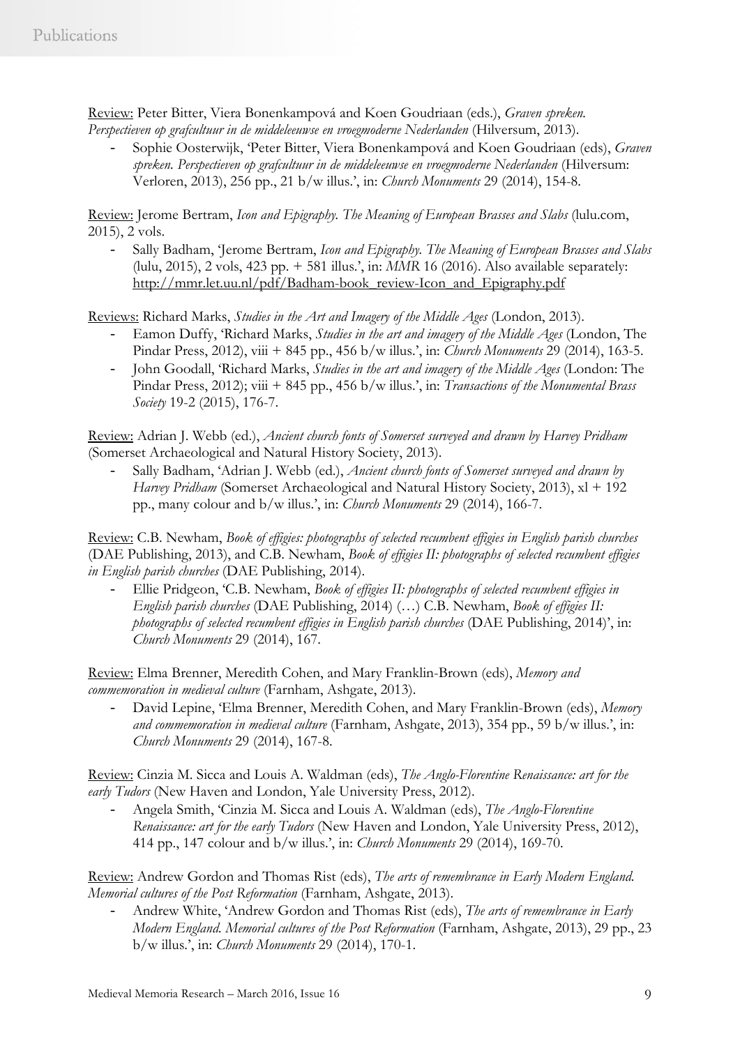Review: Peter Bitter, Viera Bonenkampová and Koen Goudriaan (eds.), *Graven spreken. Perspectieven op grafcultuur in de middeleeuwse en vroegmoderne Nederlanden* (Hilversum, 2013).

- Sophie Oosterwijk, 'Peter Bitter, Viera Bonenkampová and Koen Goudriaan (eds), *Graven*  spreken. Perspectieven op grafcultuur in de middeleeuwse en vroegmoderne Nederlanden (Hilversum: Verloren, 2013), 256 pp., 21 b/w illus.', in: *Church Monuments* 29 (2014), 154-8.

Review: Jerome Bertram, *Icon and Epigraphy. The Meaning of European Brasses and Slabs* (lulu.com, 2015), 2 vols.

- Sally Badham, 'Jerome Bertram, *Icon and Epigraphy. The Meaning of European Brasses and Slabs* (lulu, 2015), 2 vols, 423 pp. + 581 illus.', in: *MMR* 16 (2016). Also available separately: [http://mmr.let.uu.nl/pdf/Badham-book\\_review-Icon\\_and\\_Epigraphy.pdf](http://mmr.let.uu.nl/pdf/Badham-book_review-Icon_and_Epigraphy.pdf)

Reviews: Richard Marks, *Studies in the Art and Imagery of the Middle Ages* (London, 2013).

- Eamon Duffy, 'Richard Marks, *Studies in the art and imagery of the Middle Ages* (London, The Pindar Press, 2012), viii + 845 pp., 456 b/w illus.', in: *Church Monuments* 29 (2014), 163-5.
- John Goodall, 'Richard Marks, *Studies in the art and imagery of the Middle Ages* (London: The Pindar Press, 2012); viii + 845 pp., 456 b/w illus.', in: *Transactions of the Monumental Brass Society* 19-2 (2015), 176-7.

Review: Adrian J. Webb (ed.), *Ancient church fonts of Somerset surveyed and drawn by Harvey Pridham*  (Somerset Archaeological and Natural History Society, 2013).

- Sally Badham, 'Adrian J. Webb (ed.), *Ancient church fonts of Somerset surveyed and drawn by Harvey Pridham (Somerset Archaeological and Natural History Society, 2013), xl* + 192 pp., many colour and b/w illus.', in: *Church Monuments* 29 (2014), 166-7.

Review: C.B. Newham, *Book of effigies: photographs of selected recumbent effigies in English parish churches*  (DAE Publishing, 2013), and C.B. Newham, *Book of effigies II: photographs of selected recumbent effigies in English parish churches* (DAE Publishing, 2014).

- Ellie Pridgeon, 'C.B. Newham, *Book of effigies II: photographs of selected recumbent effigies in English parish churches* (DAE Publishing, 2014) (…) C.B. Newham, *Book of effigies II: photographs of selected recumbent effigies in English parish churches* (DAE Publishing, 2014)', in: *Church Monuments* 29 (2014), 167.

Review: Elma Brenner, Meredith Cohen, and Mary Franklin-Brown (eds), *Memory and commemoration in medieval culture* (Farnham, Ashgate, 2013).

- David Lepine, 'Elma Brenner, Meredith Cohen, and Mary Franklin-Brown (eds), *Memory and commemoration in medieval culture* (Farnham, Ashgate, 2013), 354 pp., 59 b/w illus.', in: *Church Monuments* 29 (2014), 167-8.

Review: Cinzia M. Sicca and Louis A. Waldman (eds), *The Anglo-Florentine Renaissance: art for the early Tudors* (New Haven and London, Yale University Press, 2012).

- Angela Smith, 'Cinzia M. Sicca and Louis A. Waldman (eds), *The Anglo-Florentine Renaissance: art for the early Tudors* (New Haven and London, Yale University Press, 2012), 414 pp., 147 colour and b/w illus.', in: *Church Monuments* 29 (2014), 169-70.

Review: Andrew Gordon and Thomas Rist (eds), *The arts of remembrance in Early Modern England. Memorial cultures of the Post Reformation* (Farnham, Ashgate, 2013).

- Andrew White, 'Andrew Gordon and Thomas Rist (eds), *The arts of remembrance in Early Modern England. Memorial cultures of the Post Reformation* (Farnham, Ashgate, 2013), 29 pp., 23 b/w illus.', in: *Church Monuments* 29 (2014), 170-1.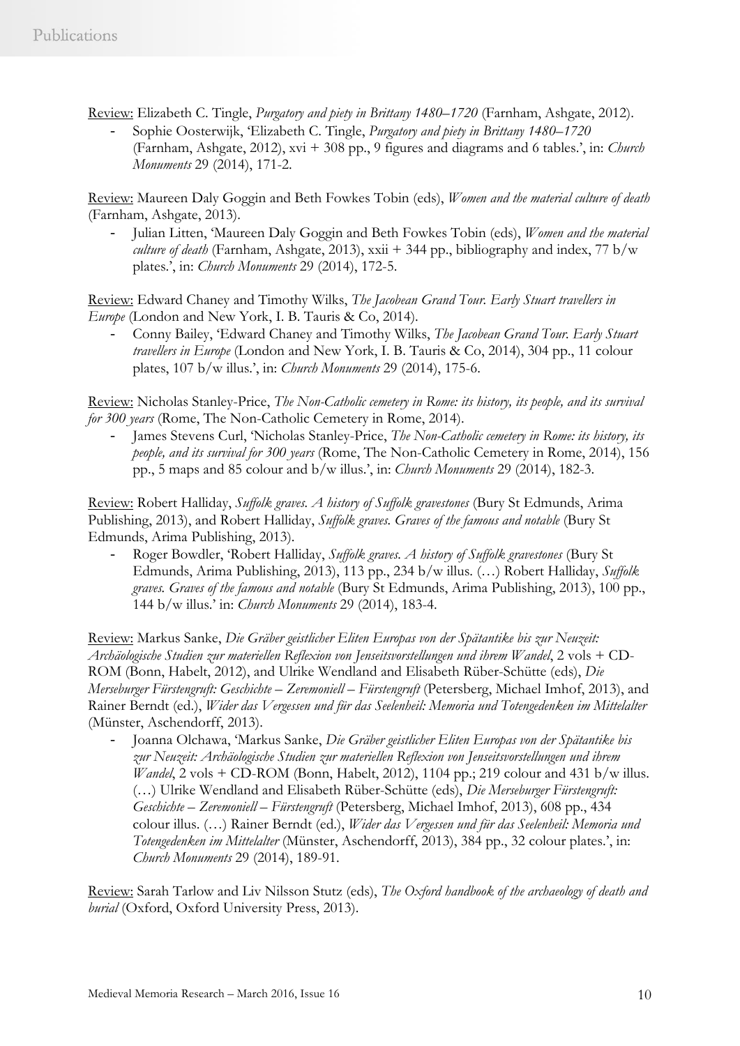Review: Elizabeth C. Tingle, *Purgatory and piety in Brittany 1480–1720* (Farnham, Ashgate, 2012).

- Sophie Oosterwijk, 'Elizabeth C. Tingle, *Purgatory and piety in Brittany 1480–1720*  (Farnham, Ashgate, 2012), xvi + 308 pp., 9 figures and diagrams and 6 tables.', in: *Church Monuments* 29 (2014), 171-2.

Review: Maureen Daly Goggin and Beth Fowkes Tobin (eds), *Women and the material culture of death*  (Farnham, Ashgate, 2013).

- Julian Litten, 'Maureen Daly Goggin and Beth Fowkes Tobin (eds), *Women and the material culture of death* (Farnham, Ashgate, 2013), xxii + 344 pp., bibliography and index, 77 b/w plates.', in: *Church Monuments* 29 (2014), 172-5.

Review: Edward Chaney and Timothy Wilks, *The Jacobean Grand Tour. Early Stuart travellers in Europe* (London and New York, I. B. Tauris & Co, 2014).

- Conny Bailey, 'Edward Chaney and Timothy Wilks, *The Jacobean Grand Tour. Early Stuart travellers in Europe* (London and New York, I. B. Tauris & Co, 2014), 304 pp., 11 colour plates, 107 b/w illus.', in: *Church Monuments* 29 (2014), 175-6.

Review: Nicholas Stanley-Price, *The Non-Catholic cemetery in Rome: its history, its people, and its survival for 300 years* (Rome, The Non-Catholic Cemetery in Rome, 2014).

- James Stevens Curl, 'Nicholas Stanley-Price, *The Non-Catholic cemetery in Rome: its history, its people, and its survival for 300 years* (Rome, The Non-Catholic Cemetery in Rome, 2014), 156 pp., 5 maps and 85 colour and b/w illus.', in: *Church Monuments* 29 (2014), 182-3.

Review: Robert Halliday, *Suffolk graves. A history of Suffolk gravestones* (Bury St Edmunds, Arima Publishing, 2013), and Robert Halliday, *Suffolk graves. Graves of the famous and notable* (Bury St Edmunds, Arima Publishing, 2013).

- Roger Bowdler, 'Robert Halliday, *Suffolk graves. A history of Suffolk gravestones* (Bury St Edmunds, Arima Publishing, 2013), 113 pp., 234 b/w illus. (…) Robert Halliday, *Suffolk graves. Graves of the famous and notable* (Bury St Edmunds, Arima Publishing, 2013), 100 pp., 144 b/w illus.' in: *Church Monuments* 29 (2014), 183-4.

Review: Markus Sanke, *Die Gräber geistlicher Eliten Europas von der Spätantike bis zur Neuzeit: Archäologische Studien zur materiellen Reflexion von Jenseitsvorstellungen und ihrem Wandel*, 2 vols + CD-ROM (Bonn, Habelt, 2012), and Ulrike Wendland and Elisabeth Rüber-Schütte (eds), *Die Merseburger Fürstengruft: Geschichte – Zeremoniell – Fürstengruft* (Petersberg, Michael Imhof, 2013), and Rainer Berndt (ed.), *Wider das Vergessen und für das Seelenheil: Memoria und Totengedenken im Mittelalter*  (Münster, Aschendorff, 2013).

- Joanna Olchawa, 'Markus Sanke, *Die Gräber geistlicher Eliten Europas von der Spätantike bis zur Neuzeit: Archäologische Studien zur materiellen Reflexion von Jenseitsvorstellungen und ihrem Wandel*, 2 vols + CD-ROM (Bonn, Habelt, 2012), 1104 pp.; 219 colour and 431 b/w illus. (…) Ulrike Wendland and Elisabeth Rüber-Schütte (eds), *Die Merseburger Fürstengruft: Geschichte – Zeremoniell – Fürstengruft* (Petersberg, Michael Imhof, 2013), 608 pp., 434 colour illus. (…) Rainer Berndt (ed.), *Wider das Vergessen und für das Seelenheil: Memoria und Totengedenken im Mittelalter* (Münster, Aschendorff, 2013), 384 pp., 32 colour plates.', in: *Church Monuments* 29 (2014), 189-91.

Review: Sarah Tarlow and Liv Nilsson Stutz (eds), *The Oxford handbook of the archaeology of death and burial* (Oxford, Oxford University Press, 2013).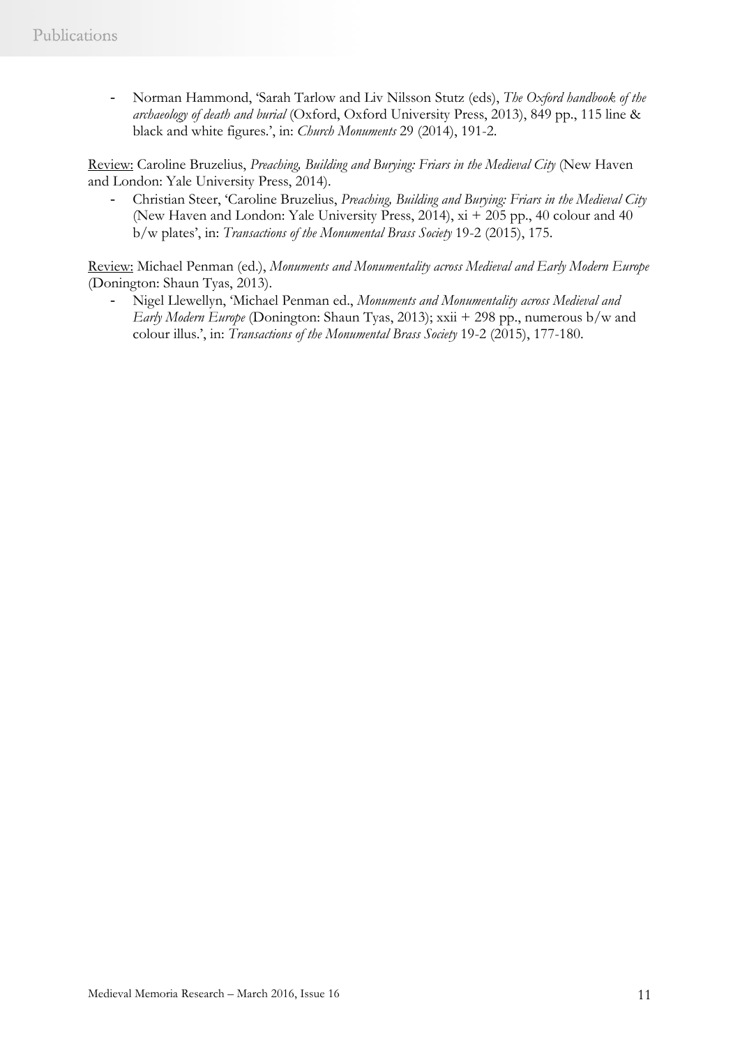- Norman Hammond, 'Sarah Tarlow and Liv Nilsson Stutz (eds), *The Oxford handbook of the archaeology of death and burial* (Oxford, Oxford University Press, 2013), 849 pp., 115 line & black and white figures.', in: *Church Monuments* 29 (2014), 191-2.

Review: Caroline Bruzelius, *Preaching, Building and Burying: Friars in the Medieval City* (New Haven and London: Yale University Press, 2014).

- Christian Steer, 'Caroline Bruzelius, *Preaching, Building and Burying: Friars in the Medieval City*  (New Haven and London: Yale University Press, 2014), xi + 205 pp., 40 colour and 40 b/w plates', in: *Transactions of the Monumental Brass Society* 19-2 (2015), 175.

Review: Michael Penman (ed.), *Monuments and Monumentality across Medieval and Early Modern Europe* (Donington: Shaun Tyas, 2013).

- Nigel Llewellyn, 'Michael Penman ed., *Monuments and Monumentality across Medieval and Early Modern Europe* (Donington: Shaun Tyas, 2013); xxii + 298 pp., numerous b/w and colour illus.', in: *Transactions of the Monumental Brass Society* 19-2 (2015), 177-180.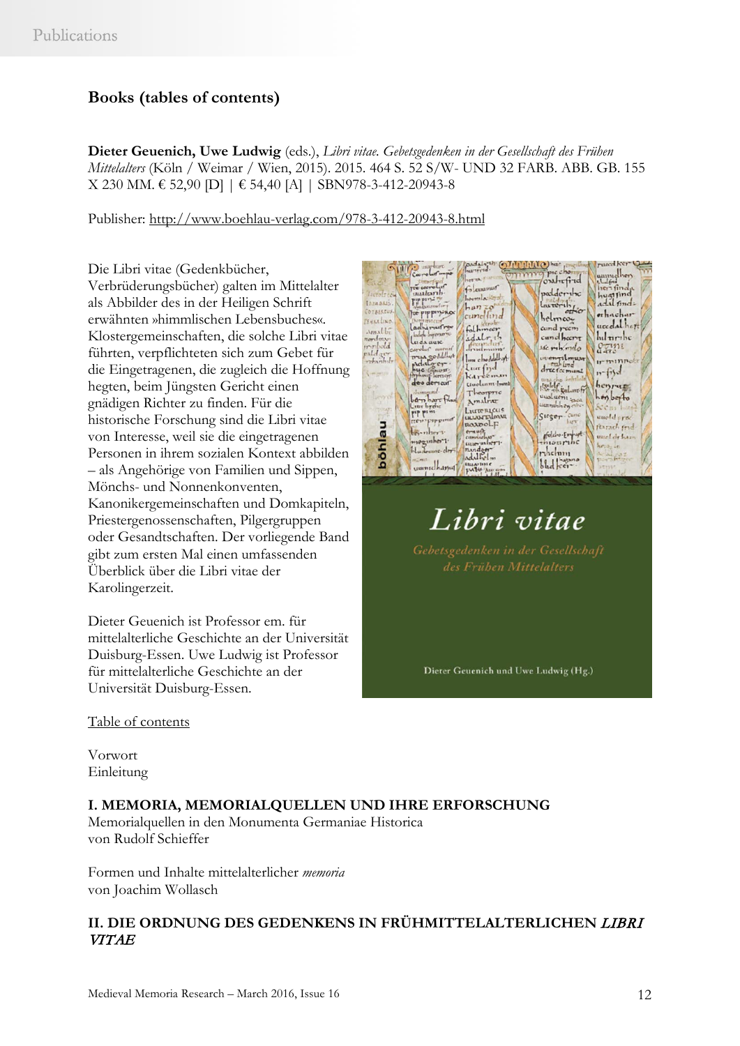## **Books (tables of contents)**

**Dieter Geuenich, Uwe Ludwig** (eds.), *Libri vitae. Gebetsgedenken in der Gesellschaft des Frühen Mittelalters* (Köln / Weimar / Wien, 2015). 2015. 464 S. 52 S/W- UND 32 FARB. ABB. GB. 155 X 230 MM. € 52,90 [D] | € 54,40 [A] | SBN978-3-412-20943-8

Publisher:<http://www.boehlau-verlag.com/978-3-412-20943-8.html>

Die Libri vitae (Gedenkbücher, Verbrüderungsbücher) galten im Mittelalter als Abbilder des in der Heiligen Schrift erwähnten »himmlischen Lebensbuches«. Klostergemeinschaften, die solche Libri vitae führten, verpflichteten sich zum Gebet für die Eingetragenen, die zugleich die Hoffnung hegten, beim Jüngsten Gericht einen gnädigen Richter zu finden. Für die historische Forschung sind die Libri vitae von Interesse, weil sie die eingetragenen Personen in ihrem sozialen Kontext abbilden – als Angehörige von Familien und Sippen, Mönchs- und Nonnenkonventen, Kanonikergemeinschaften und Domkapiteln, Priestergenossenschaften, Pilgergruppen oder Gesandtschaften. Der vorliegende Band gibt zum ersten Mal einen umfassenden Überblick über die Libri vitae der Karolingerzeit.

Dieter Geuenich ist Professor em. für mittelalterliche Geschichte an der Universität Duisburg-Essen. Uwe Ludwig ist Professor für mittelalterliche Geschichte an der Universität Duisburg-Essen.



# Libri vitae

Dieter Geuenich und Uwe Ludwig (Hg.)

Table of contents

Vorwort Einleitung

### **I. MEMORIA, MEMORIALQUELLEN UND IHRE ERFORSCHUNG**

Memorialquellen in den Monumenta Germaniae Historica von Rudolf Schieffer

Formen und Inhalte mittelalterlicher *memoria*  von Joachim Wollasch

### **II. DIE ORDNUNG DES GEDENKENS IN FRÜHMITTELALTERLICHEN** LIBRI VITAE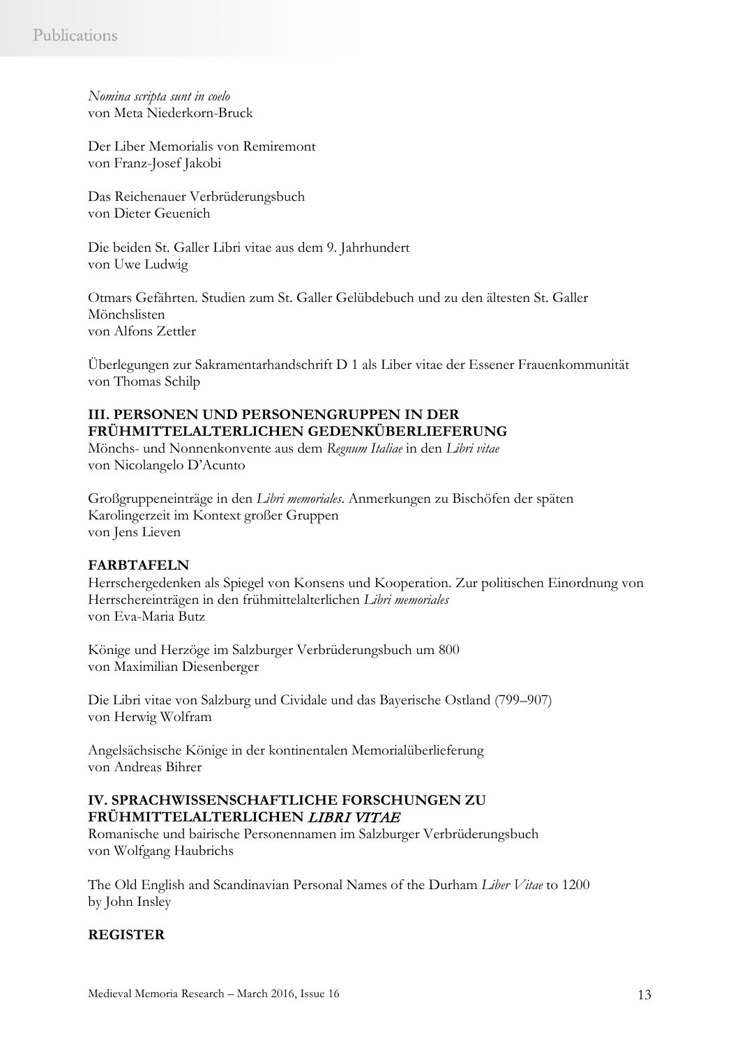*Nomina scripta sunt in coelo*  von Meta Niederkorn-Bruck

Der Liber Memorialis von Remiremont von Franz-Josef Jakobi

Das Reichenauer Verbrüderungsbuch von Dieter Geuenich

Die beiden St. Galler Libri vitae aus dem 9. Jahrhundert von Uwe Ludwig

Otmars Gefährten. Studien zum St. Galler Gelübdebuch und zu den ältesten St. Galler Mönchslisten von Alfons Zettler

Überlegungen zur Sakramentarhandschrift D 1 als Liber vitae der Essener Frauenkommunität von Thomas Schilp

### **III. PERSONEN UND PERSONENGRUPPEN IN DER FRÜHMITTELALTERLICHEN GEDENKÜBERLIEFERUNG**

Mönchs- und Nonnenkonvente aus dem *Regnum Italiae* in den *Libri vitae*  von Nicolangelo D'Acunto

Großgruppeneinträge in den *Libri memoriales*. Anmerkungen zu Bischöfen der späten Karolingerzeit im Kontext großer Gruppen von Jens Lieven

### **FARBTAFELN**

Herrschergedenken als Spiegel von Konsens und Kooperation. Zur politischen Einordnung von Herrschereinträgen in den frühmittelalterlichen *Libri memoriales*  von Eva-Maria Butz

Könige und Herzöge im Salzburger Verbrüderungsbuch um 800 von Maximilian Diesenberger

Die Libri vitae von Salzburg und Cividale und das Bayerische Ostland (799–907) von Herwig Wolfram

Angelsächsische Könige in der kontinentalen Memorialüberlieferung von Andreas Bihrer

### **IV. SPRACHWISSENSCHAFTLICHE FORSCHUNGEN ZU FRÜHMITTELALTERLICHEN** LIBRI VITAE

Romanische und bairische Personennamen im Salzburger Verbrüderungsbuch von Wolfgang Haubrichs

The Old English and Scandinavian Personal Names of the Durham *Liber Vitae* to 1200 by John Insley

### **REGISTER**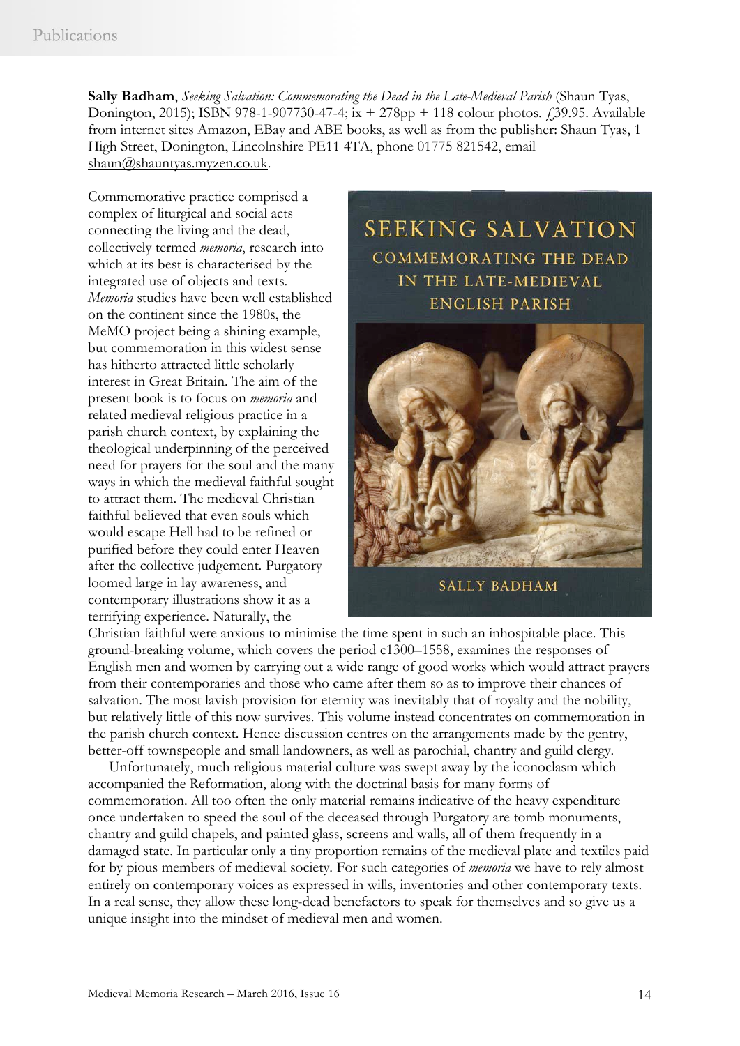**Sally Badham**, *Seeking Salvation: Commemorating the Dead in the Late-Medieval Parish* (Shaun Tyas, Donington, 2015); ISBN 978-1-907730-47-4; ix  $+ 278$ pp  $+ 118$  colour photos.  $\ell$ 39.95. Available from internet sites Amazon, EBay and ABE books, as well as from the publisher: Shaun Tyas, 1 High Street, Donington, Lincolnshire PE11 4TA, phone 01775 821542, email [shaun@shauntyas.myzen.co.uk.](mailto:shaun@shauntyas.myzen.co.uk)

Commemorative practice comprised a complex of liturgical and social acts connecting the living and the dead, collectively termed *memoria*, research into which at its best is characterised by the integrated use of objects and texts. *Memoria* studies have been well established on the continent since the 1980s, the MeMO project being a shining example, but commemoration in this widest sense has hitherto attracted little scholarly interest in Great Britain. The aim of the present book is to focus on *memoria* and related medieval religious practice in a parish church context, by explaining the theological underpinning of the perceived need for prayers for the soul and the many ways in which the medieval faithful sought to attract them. The medieval Christian faithful believed that even souls which would escape Hell had to be refined or purified before they could enter Heaven after the collective judgement. Purgatory loomed large in lay awareness, and contemporary illustrations show it as a terrifying experience. Naturally, the

**SEEKING SALVATION COMMEMORATING THE DEAD** IN THE LATE-MEDIEVAL **ENGLISH PARISH** 

**SALLY BADHAM** 

Christian faithful were anxious to minimise the time spent in such an inhospitable place. This ground-breaking volume, which covers the period c1300–1558, examines the responses of English men and women by carrying out a wide range of good works which would attract prayers from their contemporaries and those who came after them so as to improve their chances of salvation. The most lavish provision for eternity was inevitably that of royalty and the nobility, but relatively little of this now survives. This volume instead concentrates on commemoration in the parish church context. Hence discussion centres on the arrangements made by the gentry, better-off townspeople and small landowners, as well as parochial, chantry and guild clergy.

Unfortunately, much religious material culture was swept away by the iconoclasm which accompanied the Reformation, along with the doctrinal basis for many forms of commemoration. All too often the only material remains indicative of the heavy expenditure once undertaken to speed the soul of the deceased through Purgatory are tomb monuments, chantry and guild chapels, and painted glass, screens and walls, all of them frequently in a damaged state. In particular only a tiny proportion remains of the medieval plate and textiles paid for by pious members of medieval society. For such categories of *memoria* we have to rely almost entirely on contemporary voices as expressed in wills, inventories and other contemporary texts. In a real sense, they allow these long-dead benefactors to speak for themselves and so give us a unique insight into the mindset of medieval men and women.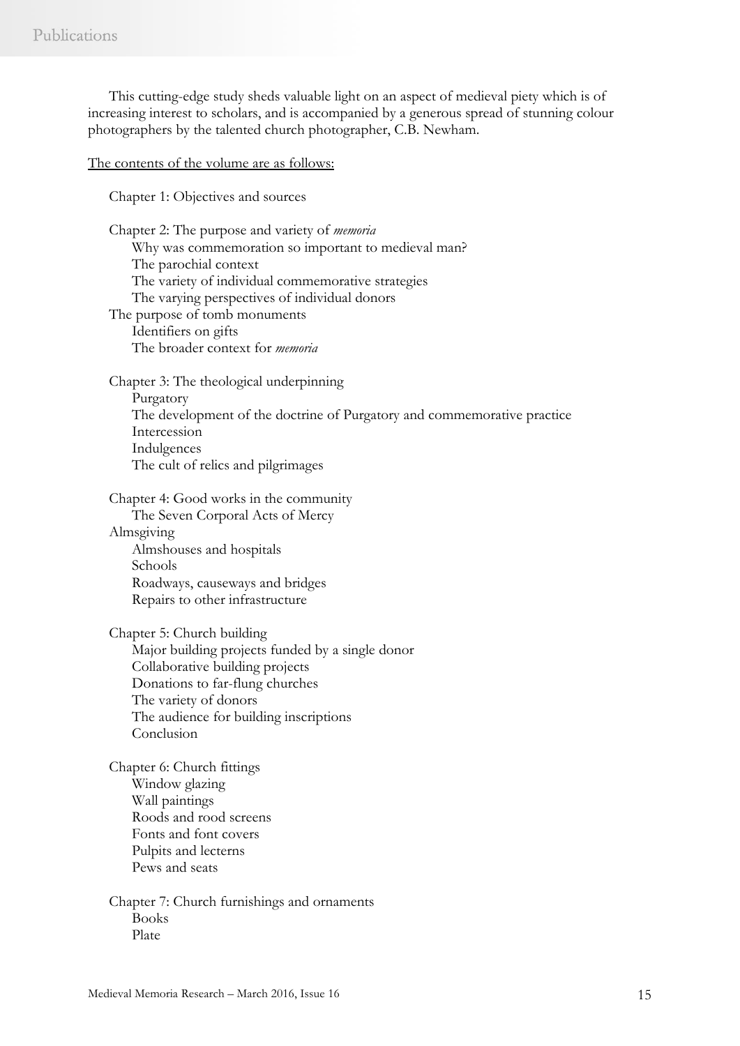This cutting-edge study sheds valuable light on an aspect of medieval piety which is of increasing interest to scholars, and is accompanied by a generous spread of stunning colour photographers by the talented church photographer, C.B. Newham.

The contents of the volume are as follows:

Chapter 1: Objectives and sources

Chapter 2: The purpose and variety of *memoria* Why was commemoration so important to medieval man? The parochial context The variety of individual commemorative strategies The varying perspectives of individual donors The purpose of tomb monuments Identifiers on gifts The broader context for *memoria* Chapter 3: The theological underpinning Purgatory The development of the doctrine of Purgatory and commemorative practice

Intercession Indulgences The cult of relics and pilgrimages

Chapter 4: Good works in the community The Seven Corporal Acts of Mercy Almsgiving

Almshouses and hospitals Schools Roadways, causeways and bridges Repairs to other infrastructure

Chapter 5: Church building Major building projects funded by a single donor Collaborative building projects Donations to far-flung churches The variety of donors The audience for building inscriptions Conclusion

Chapter 6: Church fittings Window glazing Wall paintings Roods and rood screens Fonts and font covers Pulpits and lecterns Pews and seats

Chapter 7: Church furnishings and ornaments Books Plate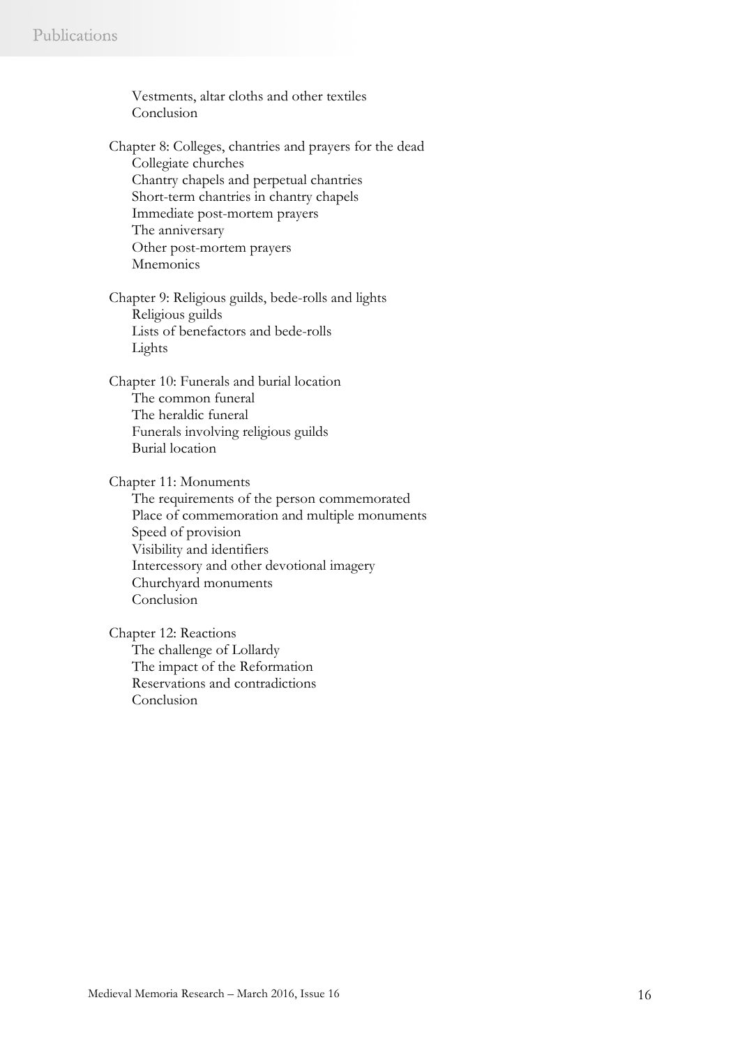Vestments, altar cloths and other textiles Conclusion Chapter 8: Colleges, chantries and prayers for the dead Collegiate churches Chantry chapels and perpetual chantries Short-term chantries in chantry chapels Immediate post-mortem prayers The anniversary Other post-mortem prayers Mnemonics Chapter 9: Religious guilds, bede-rolls and lights Religious guilds Lists of benefactors and bede-rolls Lights Chapter 10: Funerals and burial location The common funeral The heraldic funeral Funerals involving religious guilds Burial location Chapter 11: Monuments The requirements of the person commemorated Place of commemoration and multiple monuments Speed of provision Visibility and identifiers Intercessory and other devotional imagery Churchyard monuments Conclusion Chapter 12: Reactions The challenge of Lollardy The impact of the Reformation Reservations and contradictions

Conclusion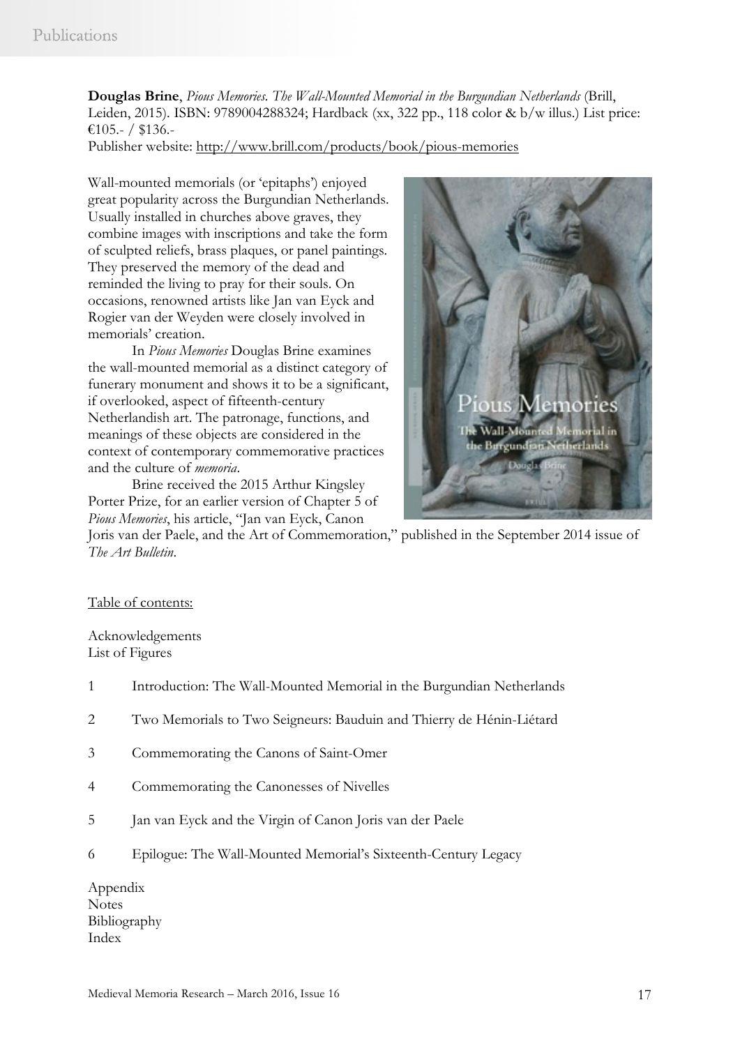**Douglas Brine**, *Pious Memories. The Wall-Mounted Memorial in the Burgundian Netherlands* (Brill, Leiden, 2015). ISBN: 9789004288324; Hardback (xx, 322 pp., 118 color & b/w illus.) List price: €105.- / \$136.-

Publisher website:<http://www.brill.com/products/book/pious-memories>

Wall-mounted memorials (or 'epitaphs') enjoyed great popularity across the Burgundian Netherlands. Usually installed in churches above graves, they combine images with inscriptions and take the form of sculpted reliefs, brass plaques, or panel paintings. They preserved the memory of the dead and reminded the living to pray for their souls. On occasions, renowned artists like Jan van Eyck and Rogier van der Weyden were closely involved in memorials' creation.

In *Pious Memories* Douglas Brine examines the wall-mounted memorial as a distinct category of funerary monument and shows it to be a significant, if overlooked, aspect of fifteenth-century Netherlandish art. The patronage, functions, and meanings of these objects are considered in the context of contemporary commemorative practices and the culture of *memoria*.

Brine received the 2015 Arthur Kingsley Porter Prize, for an earlier version of Chapter 5 of *Pious Memories*, his article, "Jan van Eyck, Canon



Joris van der Paele, and the Art of Commemoration," published in the September 2014 issue of *The Art Bulletin*.

### Table of contents:

Acknowledgements List of Figures

- 1 Introduction: The Wall-Mounted Memorial in the Burgundian Netherlands
- 2 Two Memorials to Two Seigneurs: Bauduin and Thierry de Hénin-Liétard
- 3 Commemorating the Canons of Saint-Omer
- 4 Commemorating the Canonesses of Nivelles
- 5 Jan van Eyck and the Virgin of Canon Joris van der Paele
- 6 Epilogue: The Wall-Mounted Memorial's Sixteenth-Century Legacy

Appendix Notes Bibliography Index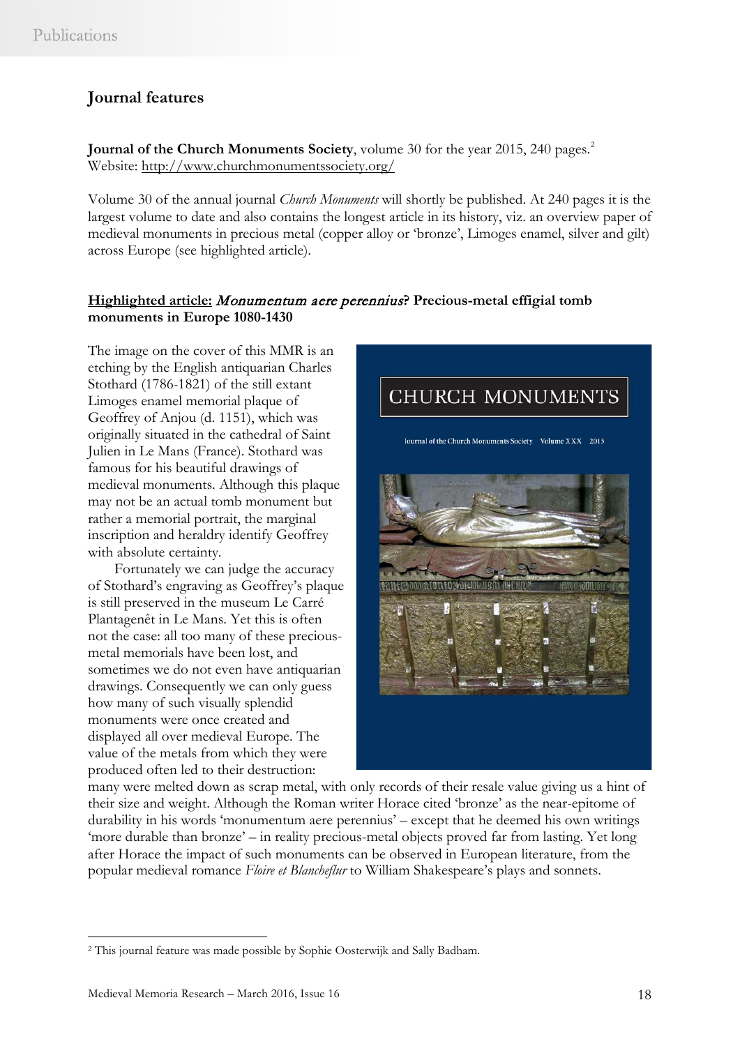# **Journal features**

**Journal of the Church Monuments Society**, volume 30 for the year [2](#page-17-0)015, 240 pages.<sup>2</sup> Website:<http://www.churchmonumentssociety.org/>

Volume 30 of the annual journal *Church Monuments* will shortly be published. At 240 pages it is the largest volume to date and also contains the longest article in its history, viz. an overview paper of medieval monuments in precious metal (copper alloy or 'bronze', Limoges enamel, silver and gilt) across Europe (see highlighted article).

### **Highlighted article:** Monumentum aere perennius**? Precious-metal effigial tomb monuments in Europe 1080-1430**

The image on the cover of this MMR is an etching by the English antiquarian Charles Stothard (1786-1821) of the still extant Limoges enamel memorial plaque of Geoffrey of Anjou (d. 1151), which was originally situated in the cathedral of Saint Julien in Le Mans (France). Stothard was famous for his beautiful drawings of medieval monuments. Although this plaque may not be an actual tomb monument but rather a memorial portrait, the marginal inscription and heraldry identify Geoffrey with absolute certainty.

Fortunately we can judge the accuracy of Stothard's engraving as Geoffrey's plaque is still preserved in the museum Le Carré Plantagenêt in Le Mans. Yet this is often not the case: all too many of these preciousmetal memorials have been lost, and sometimes we do not even have antiquarian drawings. Consequently we can only guess how many of such visually splendid monuments were once created and displayed all over medieval Europe. The value of the metals from which they were produced often led to their destruction:



many were melted down as scrap metal, with only records of their resale value giving us a hint of their size and weight. Although the Roman writer Horace cited 'bronze' as the near-epitome of durability in his words 'monumentum aere perennius' – except that he deemed his own writings 'more durable than bronze' – in reality precious-metal objects proved far from lasting. Yet long after Horace the impact of such monuments can be observed in European literature, from the popular medieval romance *Floire et Blancheflur* to William Shakespeare's plays and sonnets.

 $\overline{a}$ 

<span id="page-17-0"></span><sup>2</sup> This journal feature was made possible by Sophie Oosterwijk and Sally Badham.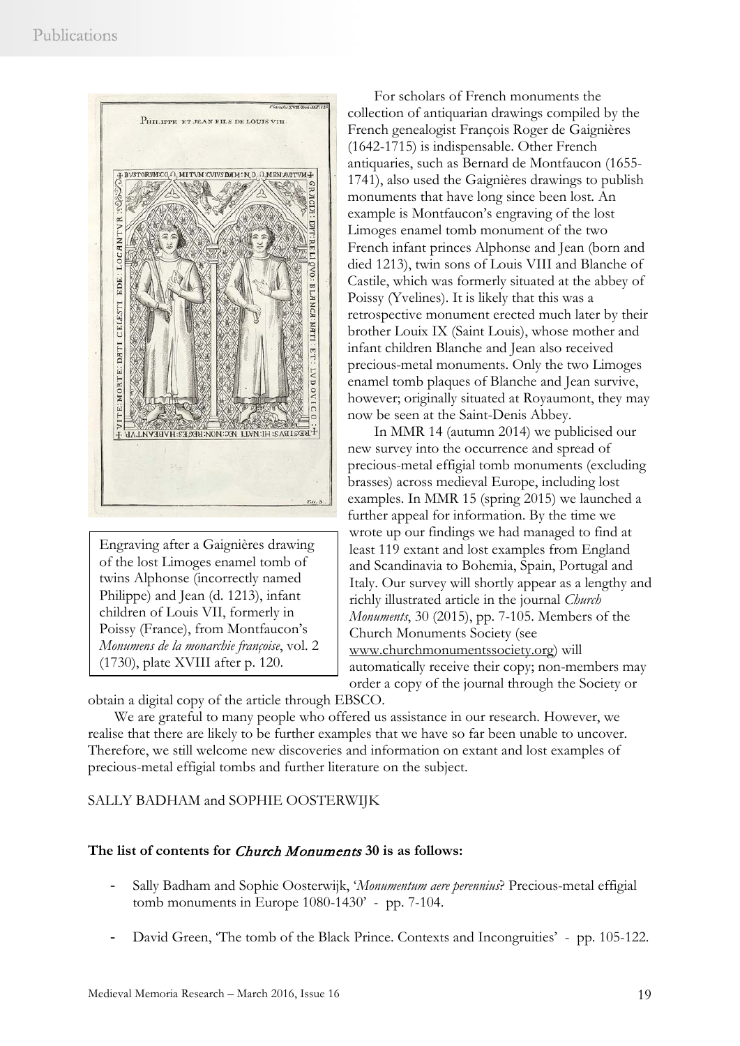

Engraving after a Gaignières drawing of the lost Limoges enamel tomb of twins Alphonse (incorrectly named Philippe) and Jean (d. 1213), infant children of Louis VII, formerly in Poissy (France), from Montfaucon's *Monumens de la monarchie françoise*, vol. 2 (1730), plate XVIII after p. 120.

For scholars of French monuments the collection of antiquarian drawings compiled by the French genealogist François Roger de Gaignières (1642-1715) is indispensable. Other French antiquaries, such as Bernard de Montfaucon (1655- 1741), also used the Gaignières drawings to publish monuments that have long since been lost. An example is Montfaucon's engraving of the lost Limoges enamel tomb monument of the two French infant princes Alphonse and Jean (born and died 1213), twin sons of Louis VIII and Blanche of Castile, which was formerly situated at the abbey of Poissy (Yvelines). It is likely that this was a retrospective monument erected much later by their brother Louix IX (Saint Louis), whose mother and infant children Blanche and Jean also received precious-metal monuments. Only the two Limoges enamel tomb plaques of Blanche and Jean survive, however; originally situated at Royaumont, they may now be seen at the Saint-Denis Abbey.

In MMR 14 (autumn 2014) we publicised our new survey into the occurrence and spread of precious-metal effigial tomb monuments (excluding brasses) across medieval Europe, including lost examples. In MMR 15 (spring 2015) we launched a further appeal for information. By the time we wrote up our findings we had managed to find at least 119 extant and lost examples from England and Scandinavia to Bohemia, Spain, Portugal and Italy. Our survey will shortly appear as a lengthy and richly illustrated article in the journal *Church Monuments*, 30 (2015), pp. 7-105. Members of the Church Monuments Society (see [www.churchmonumentssociety.org\)](http://www.churchmonumentssociety.org/) will automatically receive their copy; non-members may order a copy of the journal through the Society or

obtain a digital copy of the article through EBSCO.

We are grateful to many people who offered us assistance in our research. However, we realise that there are likely to be further examples that we have so far been unable to uncover. Therefore, we still welcome new discoveries and information on extant and lost examples of precious-metal effigial tombs and further literature on the subject.

### SALLY BADHAM and SOPHIE OOSTERWIJK

### **The list of contents for** Church Monuments **30 is as follows:**

- Sally Badham and Sophie Oosterwijk, '*Monumentum aere perennius*? Precious-metal effigial tomb monuments in Europe 1080-1430' - pp. 7-104.
- David Green, 'The tomb of the Black Prince. Contexts and Incongruities' pp. 105-122.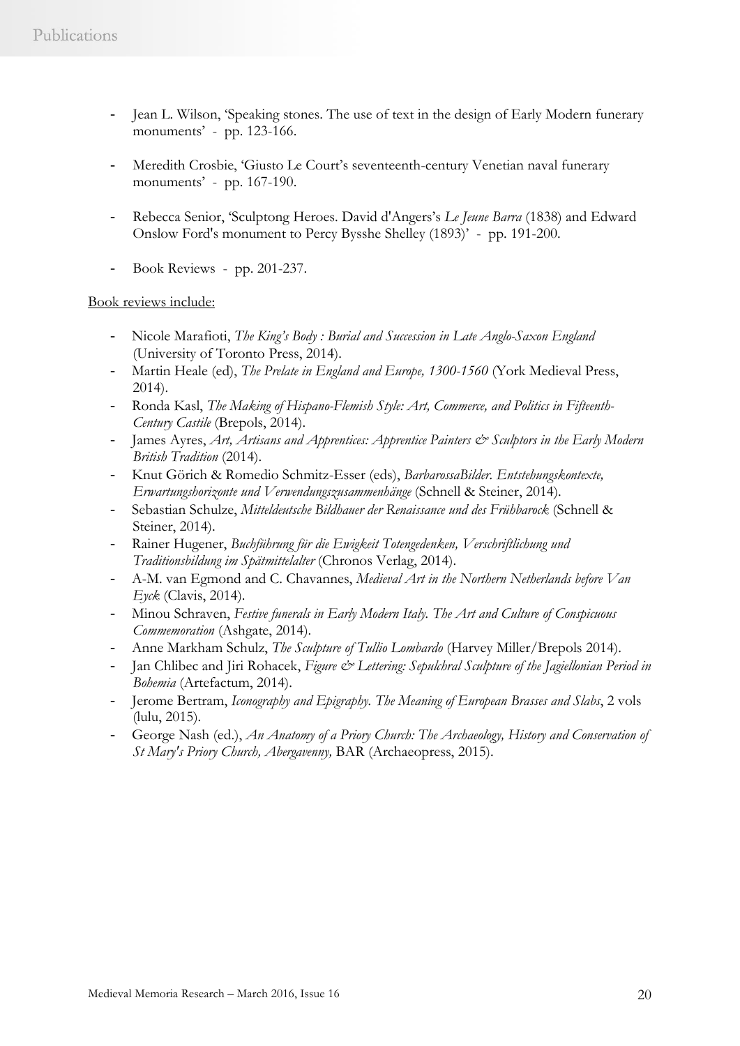- Jean L. Wilson, 'Speaking stones. The use of text in the design of Early Modern funerary monuments' - pp. 123-166.
- Meredith Crosbie, 'Giusto Le Court's seventeenth-century Venetian naval funerary monuments' - pp. 167-190.
- Rebecca Senior, 'Sculptong Heroes. David d'Angers's *Le Jeune Barra* (1838) and Edward Onslow Ford's monument to Percy Bysshe Shelley (1893)' - pp. 191-200.
- Book Reviews pp. 201-237.

### Book reviews include:

- Nicole Marafioti, *The King's Body : Burial and Succession in Late Anglo-Saxon England* (University of Toronto Press, 2014).
- Martin Heale (ed), *The Prelate in England and Europe, 1300-1560* (York Medieval Press, 2014).
- Ronda Kasl, *The Making of Hispano-Flemish Style: Art, Commerce, and Politics in Fifteenth-Century Castile* (Brepols, 2014).
- James Ayres, *Art, Artisans and Apprentices: Apprentice Painters*  $\mathcal{Q}^s$  *Sculptors in the Early Modern British Tradition* (2014).
- Knut Görich & Romedio Schmitz-Esser (eds), *BarbarossaBilder. Entstehungskontexte, Erwartungshorizonte und Verwendungszusammenhänge* (Schnell & Steiner, 2014).
- Sebastian Schulze, *Mitteldeutsche Bildhauer der Renaissance und des Frühbarock* (Schnell & Steiner, 2014).
- Rainer Hugener, *Buchführung für die Ewigkeit Totengedenken, Verschriftlichung und Traditionsbildung im Spätmittelalter* (Chronos Verlag, 2014).
- A-M. van Egmond and C. Chavannes, *Medieval Art in the Northern Netherlands before Van Eyck* (Clavis, 2014).
- Minou Schraven, *Festive funerals in Early Modern Italy. The Art and Culture of Conspicuous Commemoration* (Ashgate, 2014).
- Anne Markham Schulz, *The Sculpture of Tullio Lombardo* (Harvey Miller/Brepols 2014).
- Jan Chlibec and Jiri Rohacek, *Figure & Lettering: Sepulchral Sculpture of the Jagiellonian Period in Bohemia* (Artefactum, 2014).
- Jerome Bertram, *Iconography and Epigraphy. The Meaning of European Brasses and Slabs*, 2 vols (lulu, 2015).
- George Nash (ed.), *An Anatomy of a Priory Church: The Archaeology, History and Conservation of St Mary's Priory Church, Abergavenny,* BAR (Archaeopress, 2015).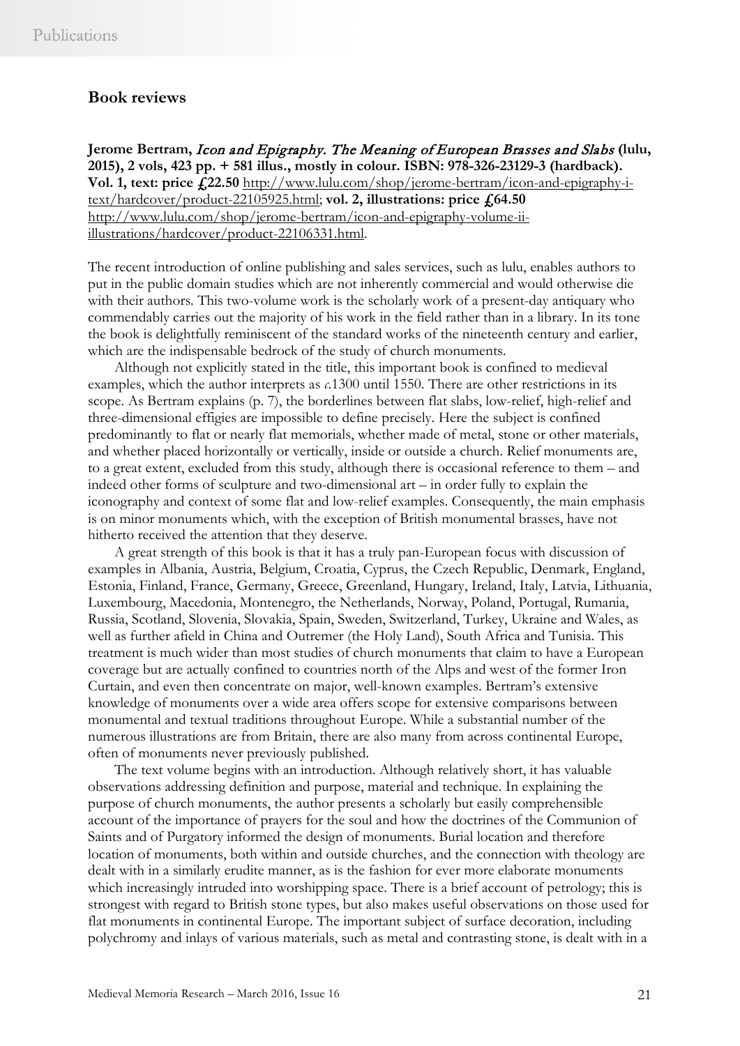### **Book reviews**

**Jerome Bertram,** Icon and Epigraphy. The Meaning of European Brasses and Slabs **(lulu, 2015), 2 vols, 423 pp. + 581 illus., mostly in colour. ISBN: 978-326-23129-3 (hardback). Vol. 1, text: price £22.50** [http://www.lulu.com/shop/jerome-bertram/icon-and-epigraphy-i](http://www.lulu.com/shop/jerome-bertram/icon-and-epigraphy-i-text/hardcover/product-22105925.html)[text/hardcover/product-22105925.html;](http://www.lulu.com/shop/jerome-bertram/icon-and-epigraphy-i-text/hardcover/product-22105925.html) **vol. 2, illustrations: price £64.50** [http://www.lulu.com/shop/jerome-bertram/icon-and-epigraphy-volume-ii](http://www.lulu.com/shop/jerome-bertram/icon-and-epigraphy-volume-ii-illustrations/hardcover/product-22106331.html)[illustrations/hardcover/product-22106331.html.](http://www.lulu.com/shop/jerome-bertram/icon-and-epigraphy-volume-ii-illustrations/hardcover/product-22106331.html)

The recent introduction of online publishing and sales services, such as lulu, enables authors to put in the public domain studies which are not inherently commercial and would otherwise die with their authors. This two-volume work is the scholarly work of a present-day antiquary who commendably carries out the majority of his work in the field rather than in a library. In its tone the book is delightfully reminiscent of the standard works of the nineteenth century and earlier, which are the indispensable bedrock of the study of church monuments.

Although not explicitly stated in the title, this important book is confined to medieval examples, which the author interprets as *c*.1300 until 1550. There are other restrictions in its scope. As Bertram explains (p. 7), the borderlines between flat slabs, low-relief, high-relief and three-dimensional effigies are impossible to define precisely. Here the subject is confined predominantly to flat or nearly flat memorials, whether made of metal, stone or other materials, and whether placed horizontally or vertically, inside or outside a church. Relief monuments are, to a great extent, excluded from this study, although there is occasional reference to them – and indeed other forms of sculpture and two-dimensional art – in order fully to explain the iconography and context of some flat and low-relief examples. Consequently, the main emphasis is on minor monuments which, with the exception of British monumental brasses, have not hitherto received the attention that they deserve.

A great strength of this book is that it has a truly pan-European focus with discussion of examples in Albania, Austria, Belgium, Croatia, Cyprus, the Czech Republic, Denmark, England, Estonia, Finland, France, Germany, Greece, Greenland, Hungary, Ireland, Italy, Latvia, Lithuania, Luxembourg, Macedonia, Montenegro, the Netherlands, Norway, Poland, Portugal, Rumania, Russia, Scotland, Slovenia, Slovakia, Spain, Sweden, Switzerland, Turkey, Ukraine and Wales, as well as further afield in China and Outremer (the Holy Land), South Africa and Tunisia. This treatment is much wider than most studies of church monuments that claim to have a European coverage but are actually confined to countries north of the Alps and west of the former Iron Curtain, and even then concentrate on major, well-known examples. Bertram's extensive knowledge of monuments over a wide area offers scope for extensive comparisons between monumental and textual traditions throughout Europe. While a substantial number of the numerous illustrations are from Britain, there are also many from across continental Europe, often of monuments never previously published.

The text volume begins with an introduction. Although relatively short, it has valuable observations addressing definition and purpose, material and technique. In explaining the purpose of church monuments, the author presents a scholarly but easily comprehensible account of the importance of prayers for the soul and how the doctrines of the Communion of Saints and of Purgatory informed the design of monuments. Burial location and therefore location of monuments, both within and outside churches, and the connection with theology are dealt with in a similarly erudite manner, as is the fashion for ever more elaborate monuments which increasingly intruded into worshipping space. There is a brief account of petrology; this is strongest with regard to British stone types, but also makes useful observations on those used for flat monuments in continental Europe. The important subject of surface decoration, including polychromy and inlays of various materials, such as metal and contrasting stone, is dealt with in a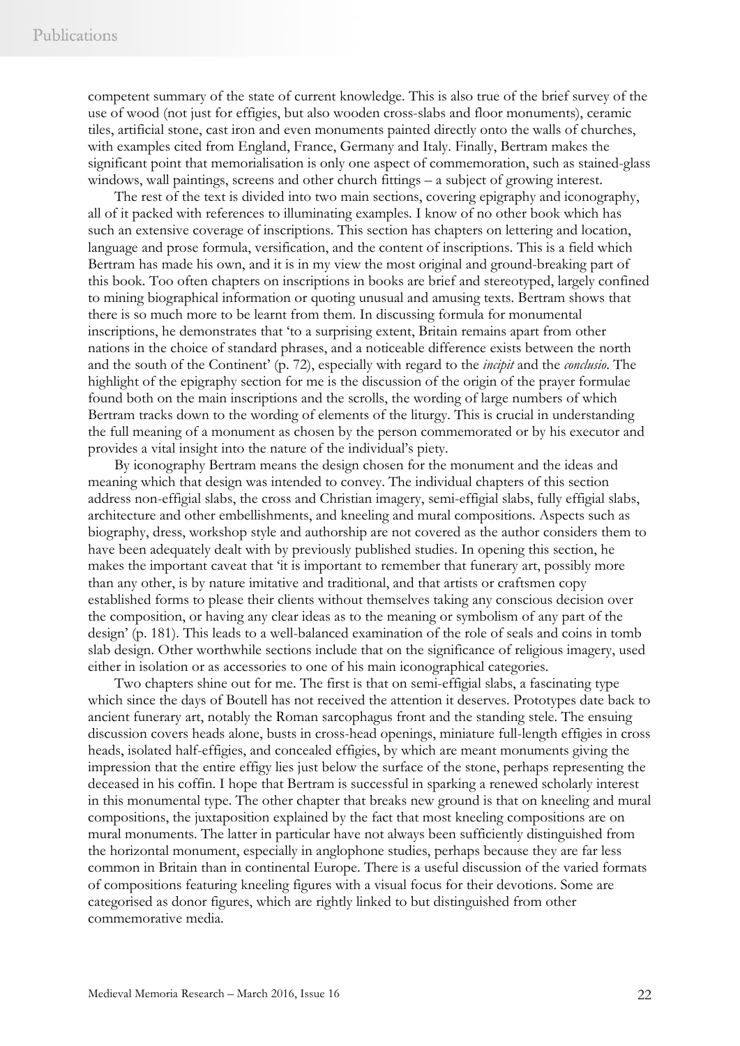competent summary of the state of current knowledge. This is also true of the brief survey of the use of wood (not just for effigies, but also wooden cross-slabs and floor monuments), ceramic tiles, artificial stone, cast iron and even monuments painted directly onto the walls of churches, with examples cited from England, France, Germany and Italy. Finally, Bertram makes the significant point that memorialisation is only one aspect of commemoration, such as stained-glass windows, wall paintings, screens and other church fittings – a subject of growing interest.

The rest of the text is divided into two main sections, covering epigraphy and iconography, all of it packed with references to illuminating examples. I know of no other book which has such an extensive coverage of inscriptions. This section has chapters on lettering and location, language and prose formula, versification, and the content of inscriptions. This is a field which Bertram has made his own, and it is in my view the most original and ground-breaking part of this book. Too often chapters on inscriptions in books are brief and stereotyped, largely confined to mining biographical information or quoting unusual and amusing texts. Bertram shows that there is so much more to be learnt from them. In discussing formula for monumental inscriptions, he demonstrates that 'to a surprising extent, Britain remains apart from other nations in the choice of standard phrases, and a noticeable difference exists between the north and the south of the Continent' (p. 72), especially with regard to the *incipit* and the *conclusio*. The highlight of the epigraphy section for me is the discussion of the origin of the prayer formulae found both on the main inscriptions and the scrolls, the wording of large numbers of which Bertram tracks down to the wording of elements of the liturgy. This is crucial in understanding the full meaning of a monument as chosen by the person commemorated or by his executor and provides a vital insight into the nature of the individual's piety.

By iconography Bertram means the design chosen for the monument and the ideas and meaning which that design was intended to convey. The individual chapters of this section address non-effigial slabs, the cross and Christian imagery, semi-effigial slabs, fully effigial slabs, architecture and other embellishments, and kneeling and mural compositions. Aspects such as biography, dress, workshop style and authorship are not covered as the author considers them to have been adequately dealt with by previously published studies. In opening this section, he makes the important caveat that 'it is important to remember that funerary art, possibly more than any other, is by nature imitative and traditional, and that artists or craftsmen copy established forms to please their clients without themselves taking any conscious decision over the composition, or having any clear ideas as to the meaning or symbolism of any part of the design' (p. 181). This leads to a well-balanced examination of the role of seals and coins in tomb slab design. Other worthwhile sections include that on the significance of religious imagery, used either in isolation or as accessories to one of his main iconographical categories.

Two chapters shine out for me. The first is that on semi-effigial slabs, a fascinating type which since the days of Boutell has not received the attention it deserves. Prototypes date back to ancient funerary art, notably the Roman sarcophagus front and the standing stele. The ensuing discussion covers heads alone, busts in cross-head openings, miniature full-length effigies in cross heads, isolated half-effigies, and concealed effigies, by which are meant monuments giving the impression that the entire effigy lies just below the surface of the stone, perhaps representing the deceased in his coffin. I hope that Bertram is successful in sparking a renewed scholarly interest in this monumental type. The other chapter that breaks new ground is that on kneeling and mural compositions, the juxtaposition explained by the fact that most kneeling compositions are on mural monuments. The latter in particular have not always been sufficiently distinguished from the horizontal monument, especially in anglophone studies, perhaps because they are far less common in Britain than in continental Europe. There is a useful discussion of the varied formats of compositions featuring kneeling figures with a visual focus for their devotions. Some are categorised as donor figures, which are rightly linked to but distinguished from other commemorative media.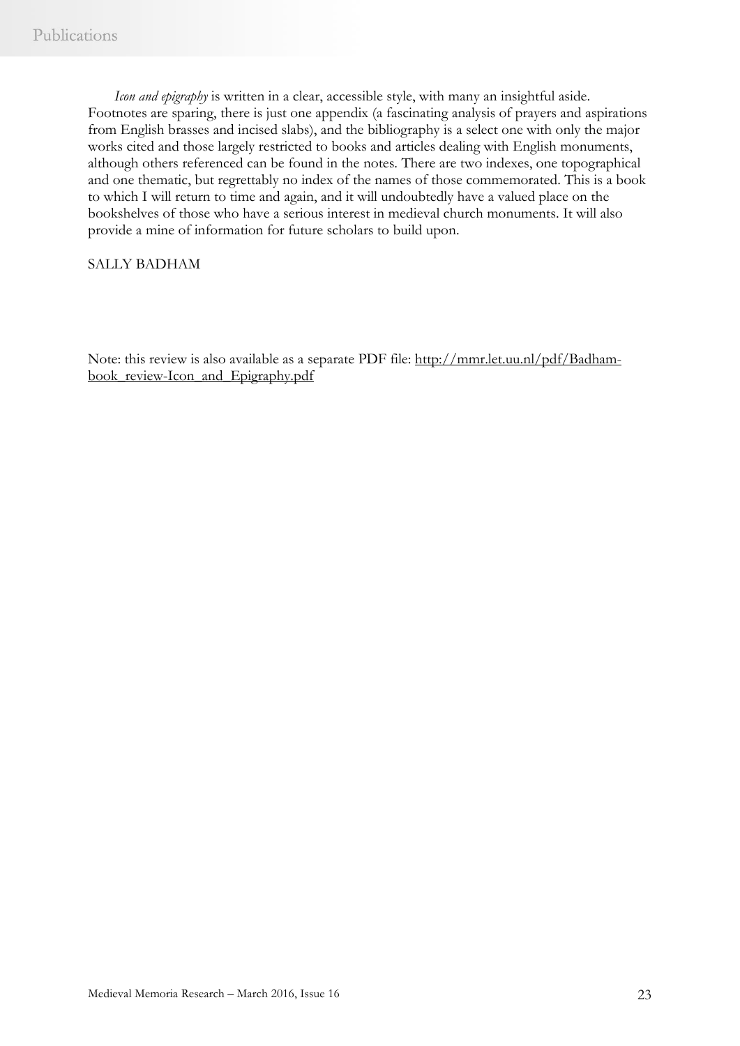*Icon and epigraphy* is written in a clear, accessible style, with many an insightful aside. Footnotes are sparing, there is just one appendix (a fascinating analysis of prayers and aspirations from English brasses and incised slabs), and the bibliography is a select one with only the major works cited and those largely restricted to books and articles dealing with English monuments, although others referenced can be found in the notes. There are two indexes, one topographical and one thematic, but regrettably no index of the names of those commemorated. This is a book to which I will return to time and again, and it will undoubtedly have a valued place on the bookshelves of those who have a serious interest in medieval church monuments. It will also provide a mine of information for future scholars to build upon.

### SALLY BADHAM

Note: this review is also available as a separate PDF file: [http://mmr.let.uu.nl/pdf/Badham](http://mmr.let.uu.nl/pdf/Badham-book_review-Icon_and_Epigraphy.pdf)book review-Icon and Epigraphy.pdf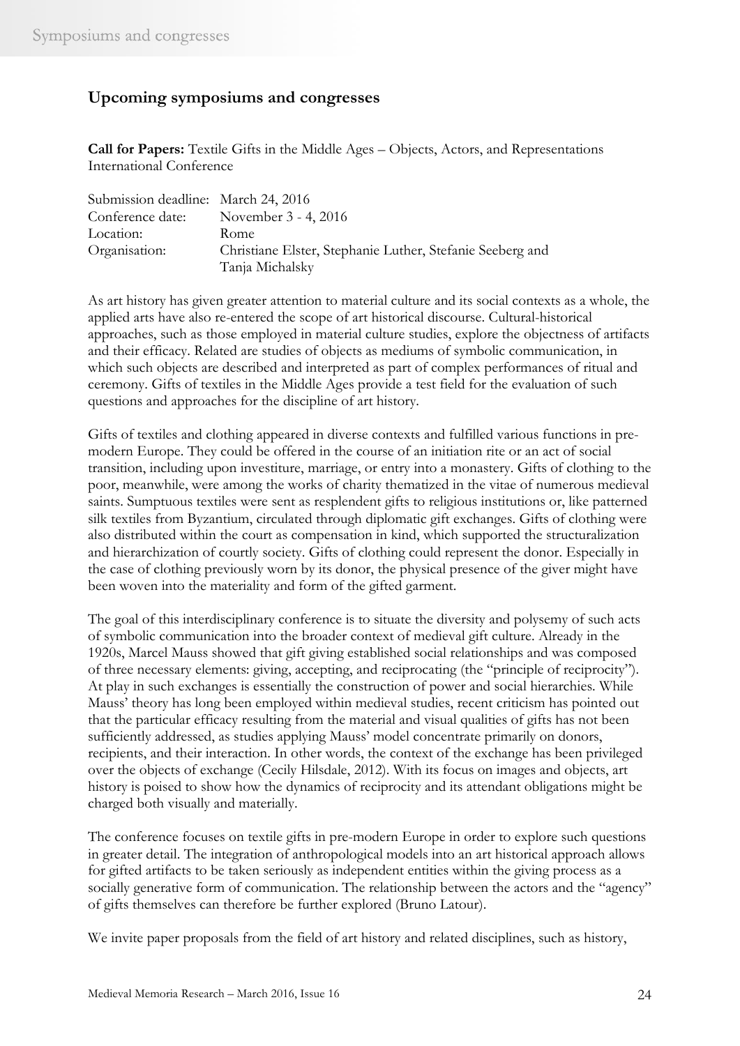### **Upcoming symposiums and congresses**

**Call for Papers:** Textile Gifts in the Middle Ages – Objects, Actors, and Representations International Conference

| Submission deadline: March 24, 2016 |                                                           |
|-------------------------------------|-----------------------------------------------------------|
| Conference date:                    | November 3 - 4, 2016                                      |
| Location:                           | Rome                                                      |
| Organisation:                       | Christiane Elster, Stephanie Luther, Stefanie Seeberg and |
|                                     | Tanja Michalsky                                           |

As art history has given greater attention to material culture and its social contexts as a whole, the applied arts have also re-entered the scope of art historical discourse. Cultural-historical approaches, such as those employed in material culture studies, explore the objectness of artifacts and their efficacy. Related are studies of objects as mediums of symbolic communication, in which such objects are described and interpreted as part of complex performances of ritual and ceremony. Gifts of textiles in the Middle Ages provide a test field for the evaluation of such questions and approaches for the discipline of art history.

Gifts of textiles and clothing appeared in diverse contexts and fulfilled various functions in premodern Europe. They could be offered in the course of an initiation rite or an act of social transition, including upon investiture, marriage, or entry into a monastery. Gifts of clothing to the poor, meanwhile, were among the works of charity thematized in the vitae of numerous medieval saints. Sumptuous textiles were sent as resplendent gifts to religious institutions or, like patterned silk textiles from Byzantium, circulated through diplomatic gift exchanges. Gifts of clothing were also distributed within the court as compensation in kind, which supported the structuralization and hierarchization of courtly society. Gifts of clothing could represent the donor. Especially in the case of clothing previously worn by its donor, the physical presence of the giver might have been woven into the materiality and form of the gifted garment.

The goal of this interdisciplinary conference is to situate the diversity and polysemy of such acts of symbolic communication into the broader context of medieval gift culture. Already in the 1920s, Marcel Mauss showed that gift giving established social relationships and was composed of three necessary elements: giving, accepting, and reciprocating (the "principle of reciprocity"). At play in such exchanges is essentially the construction of power and social hierarchies. While Mauss' theory has long been employed within medieval studies, recent criticism has pointed out that the particular efficacy resulting from the material and visual qualities of gifts has not been sufficiently addressed, as studies applying Mauss' model concentrate primarily on donors, recipients, and their interaction. In other words, the context of the exchange has been privileged over the objects of exchange (Cecily Hilsdale, 2012). With its focus on images and objects, art history is poised to show how the dynamics of reciprocity and its attendant obligations might be charged both visually and materially.

The conference focuses on textile gifts in pre-modern Europe in order to explore such questions in greater detail. The integration of anthropological models into an art historical approach allows for gifted artifacts to be taken seriously as independent entities within the giving process as a socially generative form of communication. The relationship between the actors and the "agency" of gifts themselves can therefore be further explored (Bruno Latour).

We invite paper proposals from the field of art history and related disciplines, such as history,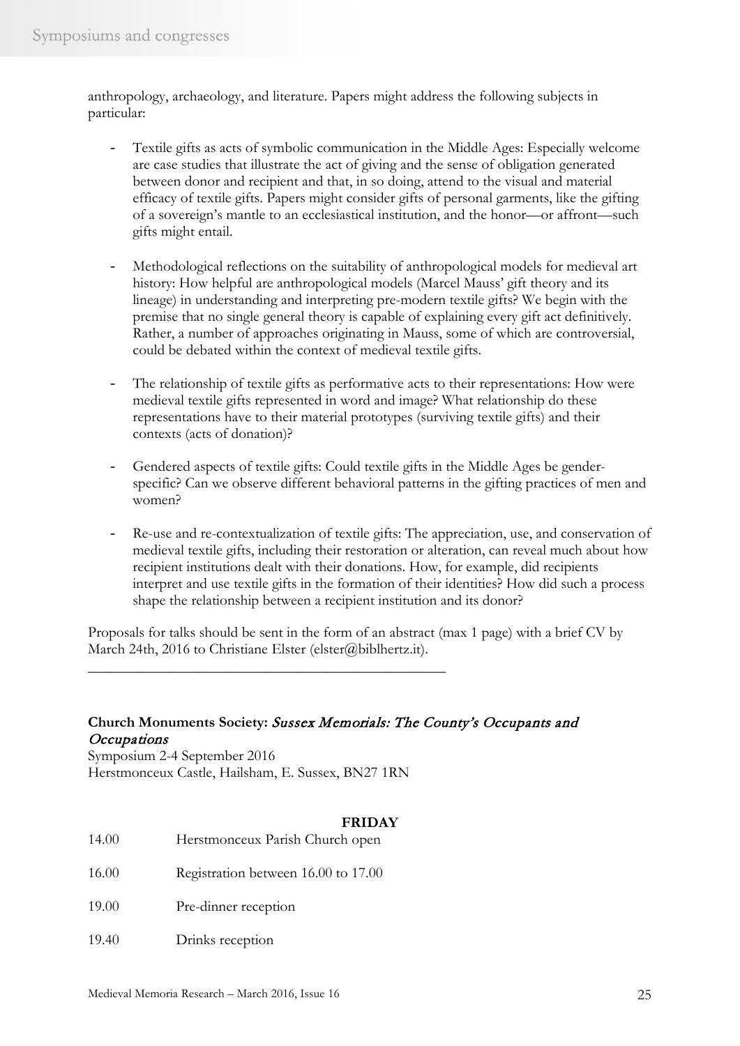anthropology, archaeology, and literature. Papers might address the following subjects in particular:

- Textile gifts as acts of symbolic communication in the Middle Ages: Especially welcome are case studies that illustrate the act of giving and the sense of obligation generated between donor and recipient and that, in so doing, attend to the visual and material efficacy of textile gifts. Papers might consider gifts of personal garments, like the gifting of a sovereign's mantle to an ecclesiastical institution, and the honor—or affront—such gifts might entail.
- Methodological reflections on the suitability of anthropological models for medieval art history: How helpful are anthropological models (Marcel Mauss' gift theory and its lineage) in understanding and interpreting pre-modern textile gifts? We begin with the premise that no single general theory is capable of explaining every gift act definitively. Rather, a number of approaches originating in Mauss, some of which are controversial, could be debated within the context of medieval textile gifts.
- The relationship of textile gifts as performative acts to their representations: How were medieval textile gifts represented in word and image? What relationship do these representations have to their material prototypes (surviving textile gifts) and their contexts (acts of donation)?
- Gendered aspects of textile gifts: Could textile gifts in the Middle Ages be genderspecific? Can we observe different behavioral patterns in the gifting practices of men and women?
- Re-use and re-contextualization of textile gifts: The appreciation, use, and conservation of medieval textile gifts, including their restoration or alteration, can reveal much about how recipient institutions dealt with their donations. How, for example, did recipients interpret and use textile gifts in the formation of their identities? How did such a process shape the relationship between a recipient institution and its donor?

Proposals for talks should be sent in the form of an abstract (max 1 page) with a brief CV by March 24th, 2016 to Christiane Elster (elster@biblhertz.it).

### **Church Monuments Society:** Sussex Memorials: The County's Occupants and **Occupations**

Symposium 2-4 September 2016 Herstmonceux Castle, Hailsham, E. Sussex, BN27 1RN

\_\_\_\_\_\_\_\_\_\_\_\_\_\_\_\_\_\_\_\_\_\_\_\_\_\_\_\_\_\_\_\_\_\_\_\_\_\_\_\_\_\_\_\_\_\_\_\_

### **FRIDAY**

- 14.00 Herstmonceux Parish Church open
- 16.00 Registration between 16.00 to 17.00
- 19.00 Pre-dinner reception
- 19.40 Drinks reception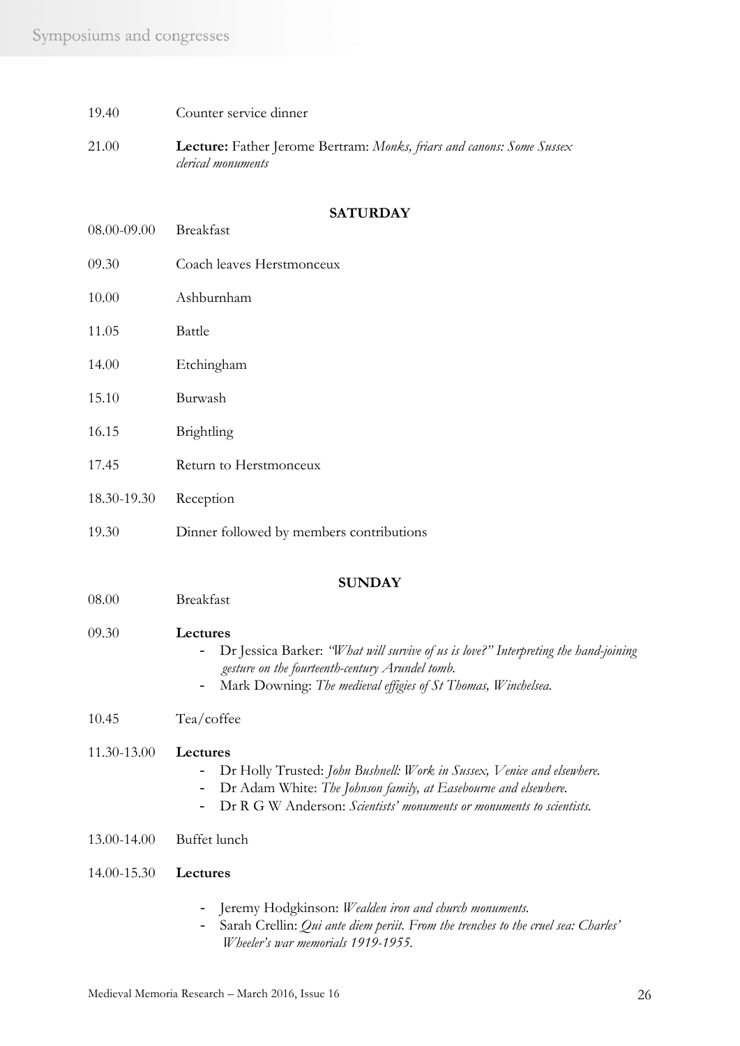- 19.40 Counter service dinner
- 21.00 **Lecture:** Father Jerome Bertram: *Monks, friars and canons: Some Sussex clerical monuments*

#### **SATURDAY**

08.00-09.00 Breakfast 09.30 Coach leaves Herstmonceux 10.00 Ashburnham 11.05 Battle 14.00 Etchingham 15.10 Burwash 16.15 Brightling 17.45 Return to Herstmonceux 18.30-19.30 Reception 19.30 Dinner followed by members contributions **SUNDAY** 08.00 Breakfast 09.30 **Lectures** - Dr Jessica Barker: *"What will survive of us is love?" Interpreting the hand-joining gesture on the fourteenth-century Arundel tomb.* - Mark Downing: *The medieval effigies of St Thomas, Winchelsea.* 10.45 Tea/coffee 11.30-13.00 **Lectures** - Dr Holly Trusted: *John Bushnell: Work in Sussex, Venice and elsewhere.* - Dr Adam White: *The Johnson family, at Easebourne and elsewhere.* - Dr R G W Anderson: *Scientists' monuments or monuments to scientists.* 13.00-14.00 Buffet lunch 14.00-15.30 **Lectures** - Jeremy Hodgkinson: *Wealden iron and church monuments.* - Sarah Crellin: *Qui ante diem periit. From the trenches to the cruel sea: Charles' Wheeler's war memorials 1919-1955.*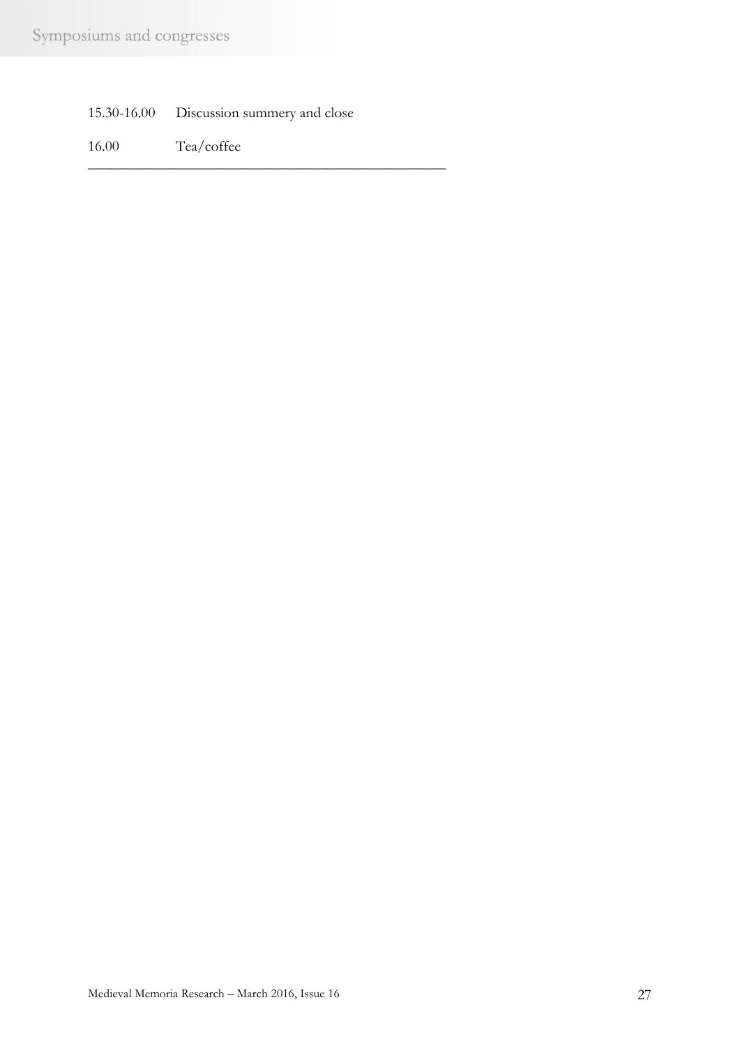| 15.30-16.00 | Discussion summery and close |  |  |
|-------------|------------------------------|--|--|
|-------------|------------------------------|--|--|

\_\_\_\_\_\_\_\_\_\_\_\_\_\_\_\_\_\_\_\_\_\_\_\_\_\_\_\_\_\_\_\_\_\_\_\_\_\_\_\_\_\_\_\_\_\_\_\_

16.00 Tea/coffee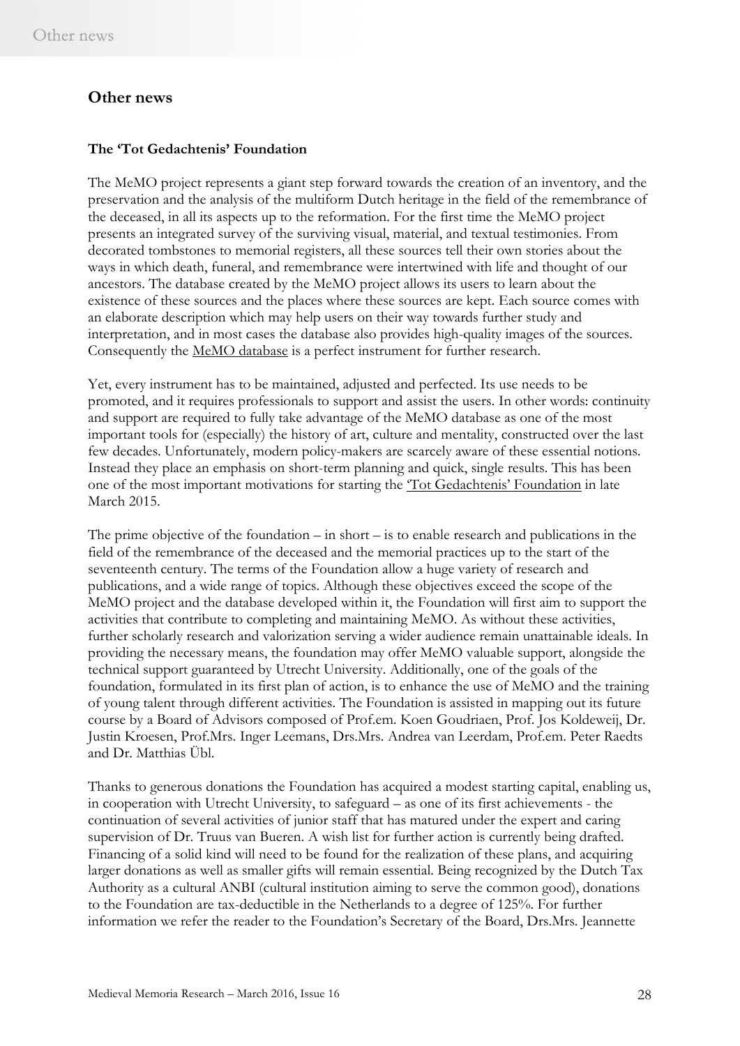### **Other news**

### **The 'Tot Gedachtenis' Foundation**

The MeMO project represents a giant step forward towards the creation of an inventory, and the preservation and the analysis of the multiform Dutch heritage in the field of the remembrance of the deceased, in all its aspects up to the reformation. For the first time the MeMO project presents an integrated survey of the surviving visual, material, and textual testimonies. From decorated tombstones to memorial registers, all these sources tell their own stories about the ways in which death, funeral, and remembrance were intertwined with life and thought of our ancestors. The database created by the MeMO project allows its users to learn about the existence of these sources and the places where these sources are kept. Each source comes with an elaborate description which may help users on their way towards further study and interpretation, and in most cases the database also provides high-quality images of the sources. Consequently the MeMO [database](http://memo.hum.uu.nl/database/index.html) is a perfect instrument for further research.

Yet, every instrument has to be maintained, adjusted and perfected. Its use needs to be promoted, and it requires professionals to support and assist the users. In other words: continuity and support are required to fully take advantage of the MeMO database as one of the most important tools for (especially) the history of art, culture and mentality, constructed over the last few decades. Unfortunately, modern policy-makers are scarcely aware of these essential notions. Instead they place an emphasis on short-term planning and quick, single results. This has been one of the most important motivations for starting the ['Tot Gedachtenis'](http://memo.hum.uu.nl/database/pages/crowdfunding.html) Foundation in late March 2015.

The prime objective of the foundation – in short – is to enable research and publications in the field of the remembrance of the deceased and the memorial practices up to the start of the seventeenth century. The terms of the Foundation allow a huge variety of research and publications, and a wide range of topics. Although these objectives exceed the scope of the MeMO project and the database developed within it, the Foundation will first aim to support the activities that contribute to completing and maintaining MeMO. As without these activities, further scholarly research and valorization serving a wider audience remain unattainable ideals. In providing the necessary means, the foundation may offer MeMO valuable support, alongside the technical support guaranteed by Utrecht University. Additionally, one of the goals of the foundation, formulated in its first plan of action, is to enhance the use of MeMO and the training of young talent through different activities. The Foundation is assisted in mapping out its future course by a Board of Advisors composed of Prof.em. Koen Goudriaen, Prof. Jos Koldeweij, Dr. Justin Kroesen, Prof.Mrs. Inger Leemans, Drs.Mrs. Andrea van Leerdam, Prof.em. Peter Raedts and Dr. Matthias Übl.

Thanks to generous donations the Foundation has acquired a modest starting capital, enabling us, in cooperation with Utrecht University, to safeguard – as one of its first achievements - the continuation of several activities of junior staff that has matured under the expert and caring supervision of Dr. Truus van Bueren. A wish list for further action is currently being drafted. Financing of a solid kind will need to be found for the realization of these plans, and acquiring larger donations as well as smaller gifts will remain essential. Being recognized by the Dutch Tax Authority as a cultural ANBI (cultural institution aiming to serve the common good), donations to the Foundation are tax-deductible in the Netherlands to a degree of 125%. For further information we refer the reader to the Foundation's Secretary of the Board, Drs.Mrs. Jeannette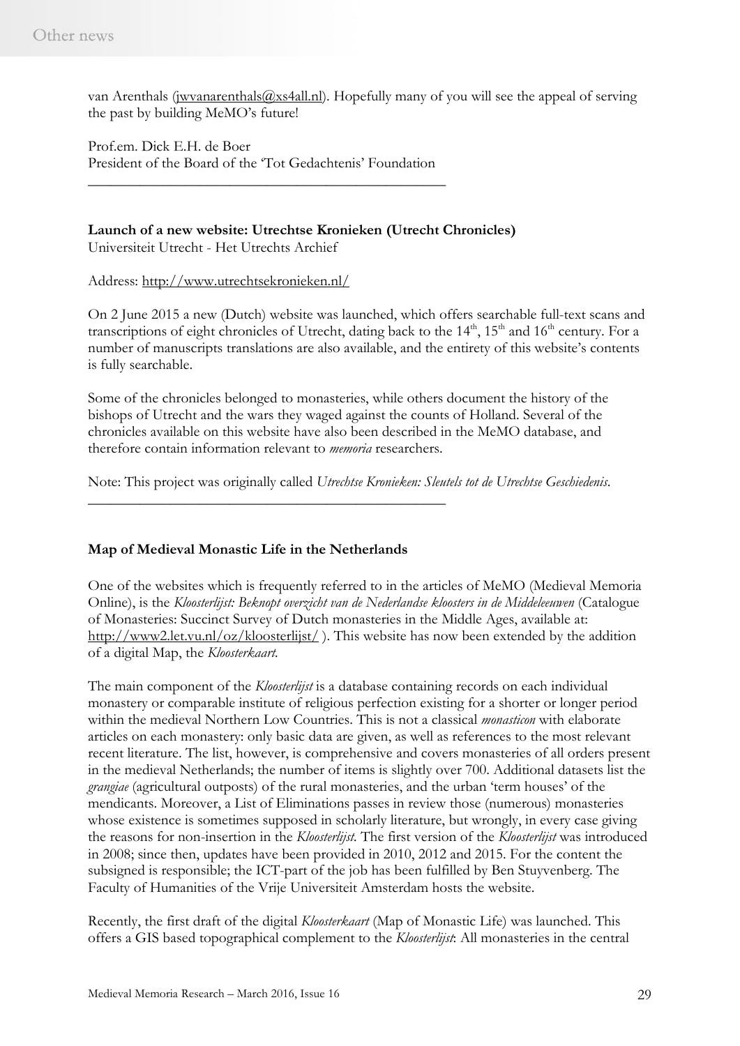van Arenthals (jwvanarenthals @xs4all.nl). Hopefully many of you will see the appeal of serving the past by building MeMO's future!

Prof.em. Dick E.H. de Boer President of the Board of the 'Tot Gedachtenis' Foundation

\_\_\_\_\_\_\_\_\_\_\_\_\_\_\_\_\_\_\_\_\_\_\_\_\_\_\_\_\_\_\_\_\_\_\_\_\_\_\_\_\_\_\_\_\_\_\_\_

**Launch of a new website: Utrechtse Kronieken (Utrecht Chronicles)**

Universiteit Utrecht - Het Utrechts Archief

Address:<http://www.utrechtsekronieken.nl/>

On 2 June 2015 a new (Dutch) website was launched, which offers searchable full-text scans and transcriptions of eight chronicles of Utrecht, dating back to the  $14<sup>th</sup>$ ,  $15<sup>th</sup>$  and  $16<sup>th</sup>$  century. For a number of manuscripts translations are also available, and the entirety of this website's contents is fully searchable.

Some of the chronicles belonged to monasteries, while others document the history of the bishops of Utrecht and the wars they waged against the counts of Holland. Several of the chronicles available on this website have also been described in the MeMO database, and therefore contain information relevant to *memoria* researchers.

Note: This project was originally called *Utrechtse Kronieken: Sleutels tot de Utrechtse Geschiedenis*.

### **Map of Medieval Monastic Life in the Netherlands**

\_\_\_\_\_\_\_\_\_\_\_\_\_\_\_\_\_\_\_\_\_\_\_\_\_\_\_\_\_\_\_\_\_\_\_\_\_\_\_\_\_\_\_\_\_\_\_\_

One of the websites which is frequently referred to in the articles of MeMO (Medieval Memoria Online), is the *Kloosterlijst: Beknopt overzicht van de Nederlandse kloosters in de Middeleeuwen* (Catalogue) of Monasteries: Succinct Survey of Dutch monasteries in the Middle Ages, available at: <http://www2.let.vu.nl/oz/kloosterlijst/>). This website has now been extended by the addition of a digital Map, the *Kloosterkaart.* 

The main component of the *Kloosterlijst* is a database containing records on each individual monastery or comparable institute of religious perfection existing for a shorter or longer period within the medieval Northern Low Countries. This is not a classical *monasticon* with elaborate articles on each monastery: only basic data are given, as well as references to the most relevant recent literature. The list, however, is comprehensive and covers monasteries of all orders present in the medieval Netherlands; the number of items is slightly over 700. Additional datasets list the *grangiae* (agricultural outposts) of the rural monasteries, and the urban 'term houses' of the mendicants. Moreover, a List of Eliminations passes in review those (numerous) monasteries whose existence is sometimes supposed in scholarly literature, but wrongly, in every case giving the reasons for non-insertion in the *Kloosterlijst.* The first version of the *Kloosterlijst* was introduced in 2008; since then, updates have been provided in 2010, 2012 and 2015. For the content the subsigned is responsible; the ICT-part of the job has been fulfilled by Ben Stuyvenberg. The Faculty of Humanities of the Vrije Universiteit Amsterdam hosts the website.

Recently, the first draft of the digital *Kloosterkaart* (Map of Monastic Life) was launched. This offers a GIS based topographical complement to the *Kloosterlijst*: All monasteries in the central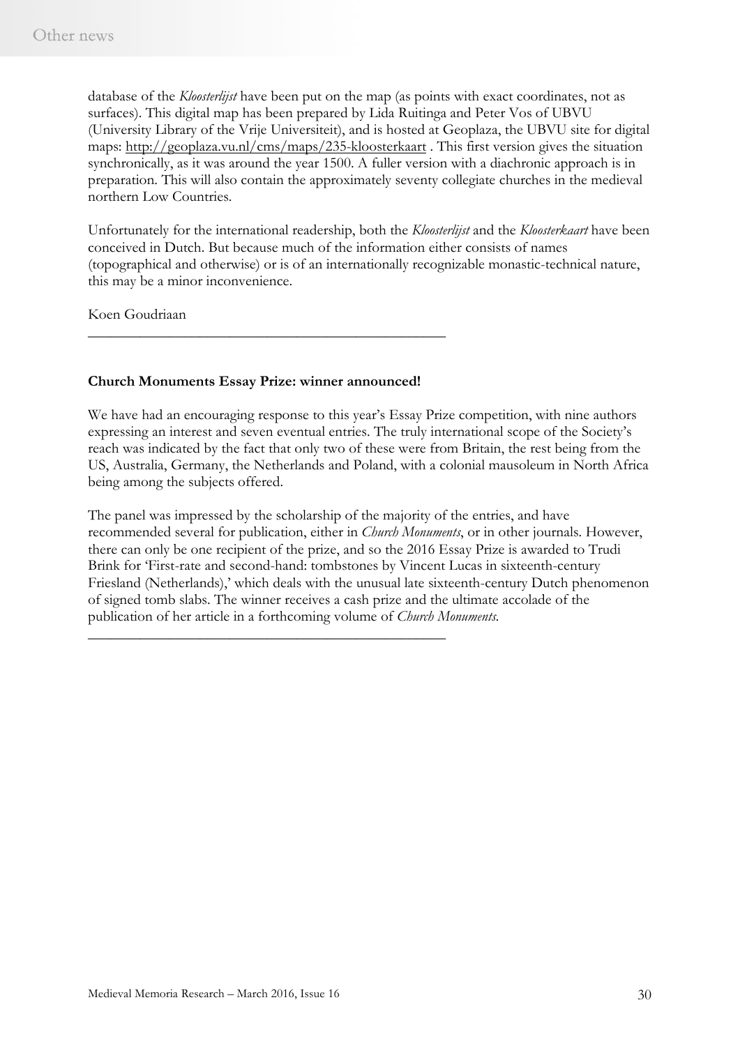database of the *Kloosterlijst* have been put on the map (as points with exact coordinates, not as surfaces). This digital map has been prepared by Lida Ruitinga and Peter Vos of UBVU (University Library of the Vrije Universiteit), and is hosted at Geoplaza, the UBVU site for digital maps:<http://geoplaza.vu.nl/cms/maps/235-kloosterkaart> . This first version gives the situation synchronically, as it was around the year 1500. A fuller version with a diachronic approach is in preparation. This will also contain the approximately seventy collegiate churches in the medieval northern Low Countries.

Unfortunately for the international readership, both the *Kloosterlijst* and the *Kloosterkaart* have been conceived in Dutch. But because much of the information either consists of names (topographical and otherwise) or is of an internationally recognizable monastic-technical nature, this may be a minor inconvenience.

Koen Goudriaan

#### **Church Monuments Essay Prize: winner announced!**

\_\_\_\_\_\_\_\_\_\_\_\_\_\_\_\_\_\_\_\_\_\_\_\_\_\_\_\_\_\_\_\_\_\_\_\_\_\_\_\_\_\_\_\_\_\_\_\_

\_\_\_\_\_\_\_\_\_\_\_\_\_\_\_\_\_\_\_\_\_\_\_\_\_\_\_\_\_\_\_\_\_\_\_\_\_\_\_\_\_\_\_\_\_\_\_\_

We have had an encouraging response to this year's Essay Prize competition, with nine authors expressing an interest and seven eventual entries. The truly international scope of the Society's reach was indicated by the fact that only two of these were from Britain, the rest being from the US, Australia, Germany, the Netherlands and Poland, with a colonial mausoleum in North Africa being among the subjects offered.

The panel was impressed by the scholarship of the majority of the entries, and have recommended several for publication, either in *Church Monuments*, or in other journals. However, there can only be one recipient of the prize, and so the 2016 Essay Prize is awarded to Trudi Brink for 'First-rate and second-hand: tombstones by Vincent Lucas in sixteenth-century Friesland (Netherlands),' which deals with the unusual late sixteenth-century Dutch phenomenon of signed tomb slabs. The winner receives a cash prize and the ultimate accolade of the publication of her article in a forthcoming volume of *Church Monuments.*